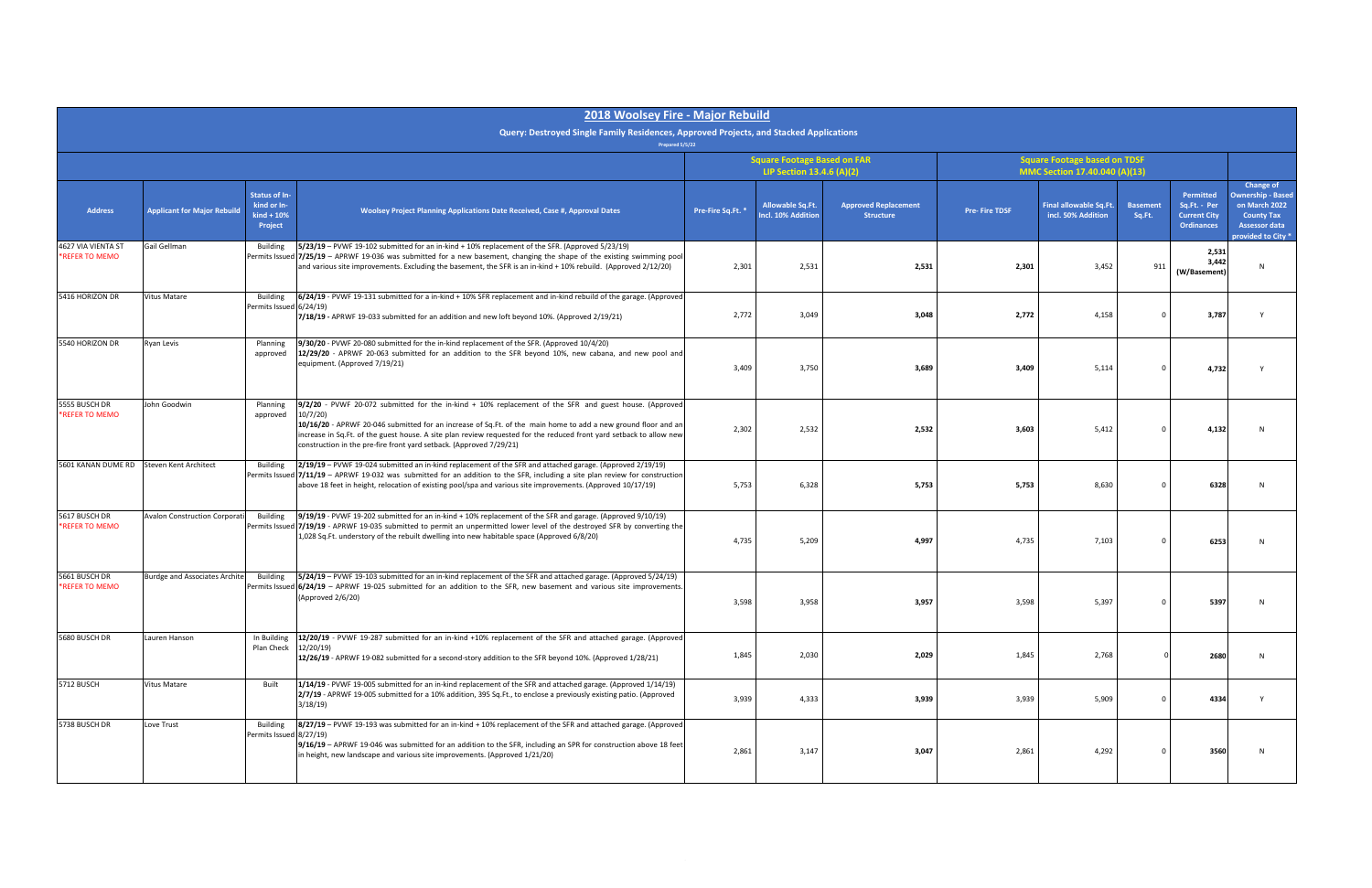|                                      |                                                                                                           |                                                                | 2018 Woolsey Fire - Major Rebuild                                                                                                                                                                                                                                                                                                                                                                                                |                   |                                                                     |                                                 |                                                                      |                                                     |                           |                                                                       |                                                                                                                           |
|--------------------------------------|-----------------------------------------------------------------------------------------------------------|----------------------------------------------------------------|----------------------------------------------------------------------------------------------------------------------------------------------------------------------------------------------------------------------------------------------------------------------------------------------------------------------------------------------------------------------------------------------------------------------------------|-------------------|---------------------------------------------------------------------|-------------------------------------------------|----------------------------------------------------------------------|-----------------------------------------------------|---------------------------|-----------------------------------------------------------------------|---------------------------------------------------------------------------------------------------------------------------|
|                                      | Query: Destroyed Single Family Residences, Approved Projects, and Stacked Applications<br>Prepared 5/5/22 |                                                                |                                                                                                                                                                                                                                                                                                                                                                                                                                  |                   |                                                                     |                                                 |                                                                      |                                                     |                           |                                                                       |                                                                                                                           |
|                                      |                                                                                                           |                                                                |                                                                                                                                                                                                                                                                                                                                                                                                                                  |                   | <b>Square Footage Based on FAR</b>                                  |                                                 | <b>Square Footage based on TDSF</b><br>MMC Section 17.40.040 (A)(13) |                                                     |                           |                                                                       |                                                                                                                           |
| <b>Address</b>                       | <b>Applicant for Major Rebuild</b>                                                                        | <b>Status of In-</b><br>kind or In-<br>$kind + 10%$<br>Project | <b>Woolsey Project Planning Applications Date Received, Case #, Approval Dates</b>                                                                                                                                                                                                                                                                                                                                               | Pre-Fire Sq.Ft. * | LIP Section 13.4.6 (A)(2)<br>Allowable Sq.Ft.<br>Incl. 10% Addition | <b>Approved Replacement</b><br><b>Structure</b> | <b>Pre-Fire TDSF</b>                                                 | <b>Final allowable Sq.Ft.</b><br>incl. 50% Addition | <b>Basement</b><br>Sq.Ft. | Permitted<br>Sq.Ft. - Per<br><b>Current City</b><br><b>Ordinances</b> | Change of<br><b>Ownership - Based</b><br>on March 2022<br><b>County Tax</b><br><b>Assessor data</b><br>provided to City * |
| 4627 VIA VIENTA ST<br>*REFER TO MEMO | Gail Gellman                                                                                              | Building                                                       | 5/23/19 - PVWF 19-102 submitted for an in-kind + 10% replacement of the SFR. (Approved 5/23/19)<br>Permits Issued 7/25/19 - APRWF 19-036 was submitted for a new basement, changing the shape of the existing swimming pool<br>and various site improvements. Excluding the basement, the SFR is an in-kind + 10% rebuild. (Approved 2/12/20)                                                                                    | 2,301             | 2,531                                                               | 2,531                                           | 2,301                                                                | 3,452                                               | 911                       | 2,531<br>3,442<br>(W/Basement)                                        |                                                                                                                           |
| 5416 HORIZON DR                      | <b>Vitus Matare</b>                                                                                       | Building<br>Permits Issued 6/24/19)                            | 6/24/19 - PVWF 19-131 submitted for a in-kind + 10% SFR replacement and in-kind rebuild of the garage. (Approved<br>7/18/19 - APRWF 19-033 submitted for an addition and new loft beyond 10%. (Approved 2/19/21)                                                                                                                                                                                                                 | 2,772             | 3,049                                                               | 3,048                                           | 2,772                                                                | 4,158                                               |                           | 3,787                                                                 |                                                                                                                           |
| 5540 HORIZON DR                      | Ryan Levis                                                                                                | Planning<br>approved                                           | 9/30/20 - PVWF 20-080 submitted for the in-kind replacement of the SFR. (Approved 10/4/20)<br>12/29/20 - APRWF 20-063 submitted for an addition to the SFR beyond 10%, new cabana, and new pool and<br>equipment. (Approved 7/19/21)                                                                                                                                                                                             | 3,409             | 3,750                                                               | 3,689                                           | 3,409                                                                | 5,114                                               |                           | 4,732                                                                 |                                                                                                                           |
| 5555 BUSCH DR<br>*REFER TO MEMO      | John Goodwin                                                                                              | Planning<br>approved                                           | 9/2/20 - PVWF 20-072 submitted for the in-kind + 10% replacement of the SFR and guest house. (Approved<br>10/7/20<br>10/16/20 - APRWF 20-046 submitted for an increase of Sq.Ft. of the main home to add a new ground floor and an<br>increase in Sq.Ft. of the guest house. A site plan review requested for the reduced front yard setback to allow new<br>construction in the pre-fire front yard setback. (Approved 7/29/21) | 2,302             | 2,532                                                               | 2,532                                           | 3,603                                                                | 5,412                                               |                           | 4,132                                                                 |                                                                                                                           |
| 5601 KANAN DUME RD                   | Steven Kent Architect                                                                                     | <b>Building</b>                                                | 2/19/19 - PVWF 19-024 submitted an in-kind replacement of the SFR and attached garage. (Approved 2/19/19)<br>Permits Issued 7/11/19 - APRWF 19-032 was submitted for an addition to the SFR, including a site plan review for construction<br>above 18 feet in height, relocation of existing pool/spa and various site improvements. (Approved 10/17/19)                                                                        | 5,753             | 6,328                                                               | 5,753                                           | 5,753                                                                | 8,630                                               |                           | 6328                                                                  |                                                                                                                           |
| 5617 BUSCH DR<br>*REFER TO MEMO      | <b>Avalon Construction Corporati</b>                                                                      | <b>Building</b>                                                | 9/19/19 - PVWF 19-202 submitted for an in-kind + 10% replacement of the SFR and garage. (Approved 9/10/19)<br>Permits Issued 7/19/19 - APRWF 19-035 submitted to permit an unpermitted lower level of the destroyed SFR by converting the<br>1,028 Sq.Ft. understory of the rebuilt dwelling into new habitable space (Approved 6/8/20)                                                                                          | 4,735             | 5,209                                                               | 4,997                                           | 4,735                                                                | 7,103                                               |                           | 6253                                                                  |                                                                                                                           |
| 5661 BUSCH DR<br>*REFER TO MEMO      | Burdge and Associates Archite Building                                                                    |                                                                | 5/24/19 – PVWF 19-103 submitted for an in-kind replacement of the SFR and attached garage. (Approved 5/24/19)<br>Permits Issued $6/24/19$ – APRWF 19-025 submitted for an addition to the SFR, new basement and various site improvements.<br>(Approved 2/6/20)                                                                                                                                                                  | 3,598             | 3,958                                                               | 3,957                                           | 3,598                                                                | 5,397                                               |                           | 5397                                                                  |                                                                                                                           |
| 5680 BUSCH DR                        | Lauren Hanson                                                                                             | In Building<br>Plan Check                                      | [12/20/19 - PVWF 19-287 submitted for an in-kind +10% replacement of the SFR and attached garage. (Approved<br>12/20/19<br>12/26/19 - APRWF 19-082 submitted for a second-story addition to the SFR beyond 10%. (Approved 1/28/21)                                                                                                                                                                                               | 1,845             | 2,030                                                               | 2,029                                           | 1,845                                                                | 2,768                                               |                           | 2680                                                                  | N                                                                                                                         |
| 5712 BUSCH                           | Vitus Matare                                                                                              | Built                                                          | 1/14/19 - PVWF 19-005 submitted for an in-kind replacement of the SFR and attached garage. (Approved 1/14/19)<br>2/7/19 - APRWF 19-005 submitted for a 10% addition, 395 Sq.Ft., to enclose a previously existing patio. (Approved<br>3/18/19                                                                                                                                                                                    | 3,939             | 4,333                                                               | 3,939                                           | 3,939                                                                | 5,909                                               |                           | 4334                                                                  |                                                                                                                           |
| 5738 BUSCH DR                        | Love Trust                                                                                                | Building<br>Permits Issued 8/27/19)                            | 8/27/19 - PVWF 19-193 was submitted for an in-kind + 10% replacement of the SFR and attached garage. (Approved<br>9/16/19 - APRWF 19-046 was submitted for an addition to the SFR, including an SPR for construction above 18 feet<br>in height, new landscape and various site improvements. (Approved 1/21/20)                                                                                                                 | 2,861             | 3,147                                                               | 3,047                                           | 2,861                                                                | 4,292                                               |                           | 3560                                                                  | N                                                                                                                         |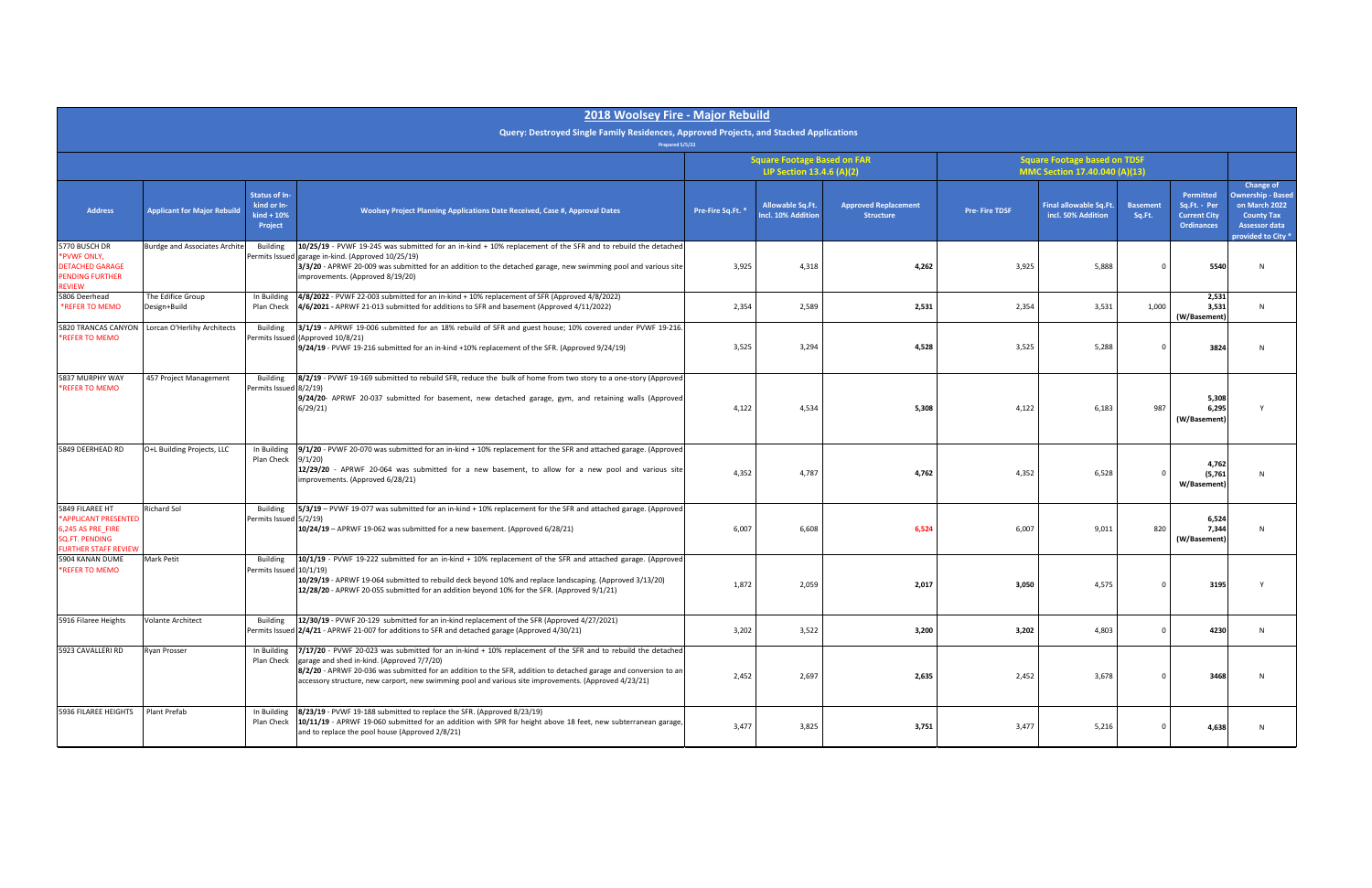| 2018 Woolsey Fire - Major Rebuild                                                                             |                                      |                                                                 |                                                                                                                                                                                                                                                                                                                                                                                        |                                                                 |                                               |                                                 |                                                                      |                                              |                           |                                                                              |                                                                                                                           |
|---------------------------------------------------------------------------------------------------------------|--------------------------------------|-----------------------------------------------------------------|----------------------------------------------------------------------------------------------------------------------------------------------------------------------------------------------------------------------------------------------------------------------------------------------------------------------------------------------------------------------------------------|-----------------------------------------------------------------|-----------------------------------------------|-------------------------------------------------|----------------------------------------------------------------------|----------------------------------------------|---------------------------|------------------------------------------------------------------------------|---------------------------------------------------------------------------------------------------------------------------|
|                                                                                                               |                                      |                                                                 | Query: Destroyed Single Family Residences, Approved Projects, and Stacked Applications<br>Prepared 5/5/22                                                                                                                                                                                                                                                                              |                                                                 |                                               |                                                 |                                                                      |                                              |                           |                                                                              |                                                                                                                           |
|                                                                                                               |                                      |                                                                 |                                                                                                                                                                                                                                                                                                                                                                                        | <b>Square Footage Based on FAR</b><br>LIP Section 13.4.6 (A)(2) |                                               |                                                 | <b>Square Footage based on TDSF</b><br>MMC Section 17.40.040 (A)(13) |                                              |                           |                                                                              |                                                                                                                           |
| <b>Address</b>                                                                                                | <b>Applicant for Major Rebuild</b>   | <b>Status of In-</b><br>kind or In-<br>$kind + 10\%$<br>Project | <b>Woolsey Project Planning Applications Date Received, Case #, Approval Dates</b>                                                                                                                                                                                                                                                                                                     | Pre-Fire Sq.Ft. *                                               | <b>Allowable Sq.Ft.</b><br>Incl. 10% Addition | <b>Approved Replacement</b><br><b>Structure</b> | <b>Pre-Fire TDSF</b>                                                 | Final allowable Sq.Ft.<br>incl. 50% Addition | <b>Basement</b><br>Sq.Ft. | <b>Permitted</b><br>Sq.Ft. - Per<br><b>Current City</b><br><b>Ordinances</b> | Change of<br><b>Ownership - Based</b><br>on March 2022<br><b>County Tax</b><br><b>Assessor data</b><br>provided to City * |
| 5770 BUSCH DR<br>*PVWF ONLY,<br><b>DETACHED GARAGE</b><br><b>PENDING FURTHER</b><br>REVIEW                    | <b>Burdge and Associates Archite</b> | <b>Building</b>                                                 | 10/25/19 - PVWF 19-245 was submitted for an in-kind + 10% replacement of the SFR and to rebuild the detached<br>Permits Issued garage in-kind. (Approved 10/25/19)<br>3/3/20 - APRWF 20-009 was submitted for an addition to the detached garage, new swimming pool and various site<br>improvements. (Approved 8/19/20)                                                               | 3,925                                                           | 4,318                                         | 4,262                                           | 3,925                                                                | 5,888                                        |                           | 5540                                                                         |                                                                                                                           |
| 5806 Deerhead<br>*REFER TO MEMO                                                                               | The Edifice Group<br>Design+Build    | In Building<br>Plan Check                                       | 4/8/2022 - PVWF 22-003 submitted for an in-kind + 10% replacement of SFR (Approved 4/8/2022)<br>4/6/2021 - APRWF 21-013 submitted for additions to SFR and basement (Approved 4/11/2022)                                                                                                                                                                                               | 2,354                                                           | 2,589                                         | 2,531                                           | 2,354                                                                | 3,531                                        | 1,000                     | 2,531<br>3,531<br>(W/Basement)                                               | N <sub>1</sub>                                                                                                            |
| 5820 TRANCAS CANYON<br>*REFER TO MEMO                                                                         | Lorcan O'Herlihy Architects          | <b>Building</b>                                                 | 3/1/19 - APRWF 19-006 submitted for an 18% rebuild of SFR and guest house; 10% covered under PVWF 19-216.<br>Permits Issued (Approved 10/8/21)<br>9/24/19 - PVWF 19-216 submitted for an in-kind +10% replacement of the SFR. (Approved 9/24/19)                                                                                                                                       | 3,525                                                           | 3,294                                         | 4,528                                           | 3,525                                                                | 5,288                                        |                           | 3824                                                                         |                                                                                                                           |
| 5837 MURPHY WAY<br>*REFER TO MEMO                                                                             | 457 Project Management               | Building<br>Permits Issued 8/2/19)                              | 8/2/19 - PVWF 19-169 submitted to rebuild SFR, reduce the bulk of home from two story to a one-story (Approved<br>9/24/20- APRWF 20-037 submitted for basement, new detached garage, gym, and retaining walls (Approved<br>6/29/21                                                                                                                                                     | 4,122                                                           | 4,534                                         | 5,308                                           | 4,122                                                                | 6,183                                        | 987                       | 5,308<br>6,295<br>(W/Basement)                                               |                                                                                                                           |
| 5849 DEERHEAD RD                                                                                              | O+L Building Projects, LLC           | In Building<br>Plan Check                                       | 9/1/20 - PVWF 20-070 was submitted for an in-kind + 10% replacement for the SFR and attached garage. (Approved<br>9/1/20<br>12/29/20 - APRWF 20-064 was submitted for a new basement, to allow for a new pool and various site<br>improvements. (Approved 6/28/21)                                                                                                                     | 4,352                                                           | 4,787                                         | 4,762                                           | 4,352                                                                | 6,528                                        |                           | 4,762<br>(5,761)<br>W/Basement)                                              |                                                                                                                           |
| 5849 FILAREE HT<br>*APPLICANT PRESENTED<br>6,245 AS PRE_FIRE<br>SQ.FT. PENDING<br><b>FURTHER STAFF REVIEW</b> | Richard Sol                          | Building<br>Permits Issued 5/2/19)                              | 5/3/19 - PVWF 19-077 was submitted for an in-kind + 10% replacement for the SFR and attached garage. (Approved<br>10/24/19 - APRWF 19-062 was submitted for a new basement. (Approved 6/28/21)                                                                                                                                                                                         | 6,007                                                           | 6,608                                         | 6,524                                           | 6,007                                                                | 9,011                                        | 820                       | 6,524<br>7.344<br>(W/Basement)                                               |                                                                                                                           |
| 5904 KANAN DUME<br>*REFER TO MEMO                                                                             | <b>Mark Petit</b>                    | Building<br>Permits Issued 10/1/19)                             | 10/1/19 - PVWF 19-222 submitted for an in-kind + 10% replacement of the SFR and attached garage. (Approved<br>10/29/19 - APRWF 19-064 submitted to rebuild deck beyond 10% and replace landscaping. (Approved 3/13/20)<br>12/28/20 - APRWF 20-055 submitted for an addition beyond 10% for the SFR. (Approved 9/1/21)                                                                  | 1,872                                                           | 2,059                                         | 2,017                                           | 3,050                                                                | 4,575                                        |                           | 3195                                                                         |                                                                                                                           |
| 5916 Filaree Heights                                                                                          | <b>Volante Architect</b>             | <b>Building</b>                                                 | 12/30/19 - PVWF 20-129 submitted for an in-kind replacement of the SFR (Approved 4/27/2021)<br>Permits Issued 2/4/21 - APRWF 21-007 for additions to SFR and detached garage (Approved 4/30/21)                                                                                                                                                                                        | 3,202                                                           | 3,522                                         | 3,200                                           | 3,202                                                                | 4,803                                        |                           | 4230                                                                         | <b>N</b>                                                                                                                  |
| 5923 CAVALLERI RD                                                                                             | Ryan Prosser                         | In Building<br>Plan Check                                       | 7/17/20 - PVWF 20-023 was submitted for an in-kind + 10% replacement of the SFR and to rebuild the detached<br>garage and shed in-kind. (Approved 7/7/20)<br>8/2/20 - APRWF 20-036 was submitted for an addition to the SFR, addition to detached garage and conversion to an<br>accessory structure, new carport, new swimming pool and various site improvements. (Approved 4/23/21) | 2,452                                                           | 2,697                                         | 2,635                                           | 2,452                                                                | 3,678                                        |                           | 3468                                                                         | N                                                                                                                         |
| 5936 FILAREE HEIGHTS                                                                                          | Plant Prefab                         | In Building<br>Plan Check                                       | 8/23/19 - PVWF 19-188 submitted to replace the SFR. (Approved 8/23/19)<br>10/11/19 - APRWF 19-060 submitted for an addition with SPR for height above 18 feet, new subterranean garage,<br>and to replace the pool house (Approved 2/8/21)                                                                                                                                             | 3,477                                                           | 3,825                                         | 3,751                                           | 3,477                                                                | 5,216                                        |                           | 4,638                                                                        | <b>N</b>                                                                                                                  |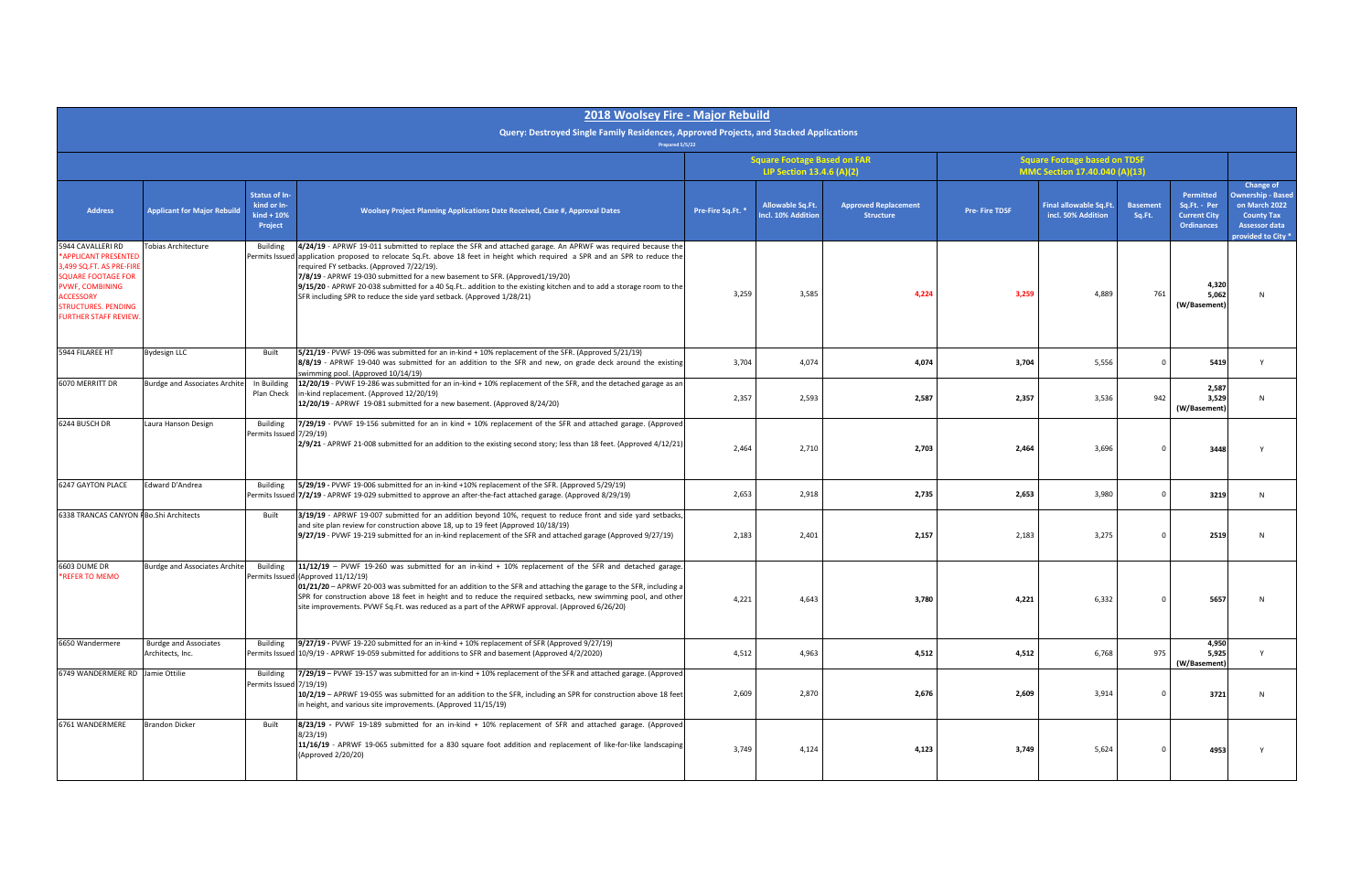|                                                                                                                                                                                                        |                                                  |                                                                | 2018 Woolsey Fire - Major Rebuild                                                                                                                                                                                                                                                                                                                                                                                                                                                                                                                       |                   |                                                                 |                                                 |                                                                      |                                              |                           |                                                                       |                                                                                                                           |
|--------------------------------------------------------------------------------------------------------------------------------------------------------------------------------------------------------|--------------------------------------------------|----------------------------------------------------------------|---------------------------------------------------------------------------------------------------------------------------------------------------------------------------------------------------------------------------------------------------------------------------------------------------------------------------------------------------------------------------------------------------------------------------------------------------------------------------------------------------------------------------------------------------------|-------------------|-----------------------------------------------------------------|-------------------------------------------------|----------------------------------------------------------------------|----------------------------------------------|---------------------------|-----------------------------------------------------------------------|---------------------------------------------------------------------------------------------------------------------------|
|                                                                                                                                                                                                        |                                                  |                                                                | Query: Destroyed Single Family Residences, Approved Projects, and Stacked Applications<br>Prepared 5/5/22                                                                                                                                                                                                                                                                                                                                                                                                                                               |                   |                                                                 |                                                 |                                                                      |                                              |                           |                                                                       |                                                                                                                           |
|                                                                                                                                                                                                        |                                                  |                                                                |                                                                                                                                                                                                                                                                                                                                                                                                                                                                                                                                                         |                   | <b>Square Footage Based on FAR</b><br>LIP Section 13.4.6 (A)(2) |                                                 | <b>Square Footage based on TDSF</b><br>MMC Section 17.40.040 (A)(13) |                                              |                           |                                                                       |                                                                                                                           |
| <b>Address</b>                                                                                                                                                                                         | <b>Applicant for Major Rebuild</b>               | <b>Status of In-</b><br>kind or In-<br>$kind + 10%$<br>Project | <b>Woolsey Project Planning Applications Date Received, Case #, Approval Dates</b>                                                                                                                                                                                                                                                                                                                                                                                                                                                                      | Pre-Fire Sq.Ft. * | Allowable Sq.Ft.<br>Incl. 10% Addition                          | <b>Approved Replacement</b><br><b>Structure</b> | <b>Pre-Fire TDSF</b>                                                 | Final allowable Sq.Ft.<br>incl. 50% Addition | <b>Basement</b><br>Sq.Ft. | Permitted<br>Sq.Ft. - Per<br><b>Current City</b><br><b>Ordinances</b> | Change of<br><b>Ownership - Based</b><br>on March 2022<br><b>County Tax</b><br><b>Assessor data</b><br>provided to City * |
| 5944 CAVALLERI RD<br>*APPLICANT PRESENTED<br>3,499 SQ.FT. AS PRE-FIRE<br><b>SQUARE FOOTAGE FOR</b><br>PVWF, COMBINING<br><b>ACCESSORY</b><br><b>STRUCTURES. PENDING</b><br><b>FURTHER STAFF REVIEW</b> | Tobias Architecture                              | <b>Building</b><br>Permits Issued                              | 4/24/19 - APRWF 19-011 submitted to replace the SFR and attached garage. An APRWF was required because the<br>application proposed to relocate Sq.Ft. above 18 feet in height which required a SPR and an SPR to reduce the<br>required FY setbacks. (Approved 7/22/19).<br>7/8/19 - APRWF 19-030 submitted for a new basement to SFR. (Approved1/19/20)<br>9/15/20 - APRWF 20-038 submitted for a 40 Sq. Ft addition to the existing kitchen and to add a storage room to the<br>SFR including SPR to reduce the side yard setback. (Approved 1/28/21) | 3,259             | 3,585                                                           | 4,224                                           | 3,259                                                                | 4,889                                        | 761                       | 4,320<br>5,062<br>(W/Basement)                                        |                                                                                                                           |
| 5944 FILAREE HT                                                                                                                                                                                        | <b>Bydesign LLC</b>                              | Built                                                          | 5/21/19 - PVWF 19-096 was submitted for an in-kind + 10% replacement of the SFR. (Approved 5/21/19)<br>8/8/19 - APRWF 19-040 was submitted for an addition to the SFR and new, on grade deck around the existing<br>swimming pool. (Approved 10/14/19)                                                                                                                                                                                                                                                                                                  | 3,704             | 4,074                                                           | 4,074                                           | 3,704                                                                | 5,556                                        | $\Omega$                  | 5419                                                                  | Y                                                                                                                         |
| 6070 MERRITT DR                                                                                                                                                                                        | <b>Burdge and Associates Archite</b>             | In Building<br>Plan Check                                      | 12/20/19 - PVWF 19-286 was submitted for an in-kind + 10% replacement of the SFR, and the detached garage as an<br>in-kind replacement. (Approved 12/20/19)<br>12/20/19 - APRWF 19-081 submitted for a new basement. (Approved 8/24/20)                                                                                                                                                                                                                                                                                                                 | 2,357             | 2,593                                                           | 2,587                                           | 2,357                                                                | 3,536                                        | 942                       | 2,587<br>3,529<br>(W/Basement)                                        |                                                                                                                           |
| 6244 BUSCH DR                                                                                                                                                                                          | Laura Hanson Design                              | <b>Building</b><br>Permits Issued 7/29/19)                     | 7/29/19 - PVWF 19-156 submitted for an in kind + 10% replacement of the SFR and attached garage. (Approved<br>2/9/21 - APRWF 21-008 submitted for an addition to the existing second story; less than 18 feet. (Approved 4/12/21)                                                                                                                                                                                                                                                                                                                       | 2,464             | 2,710                                                           | 2,703                                           | 2,464                                                                | 3,696                                        |                           | 3448                                                                  |                                                                                                                           |
| <b>6247 GAYTON PLACE</b>                                                                                                                                                                               | Edward D'Andrea                                  | <b>Building</b>                                                | 5/29/19 - PVWF 19-006 submitted for an in-kind +10% replacement of the SFR. (Approved 5/29/19)<br>Permits Issued 7/2/19 - APRWF 19-029 submitted to approve an after-the-fact attached garage. (Approved 8/29/19)                                                                                                                                                                                                                                                                                                                                       | 2,653             | 2,918                                                           | 2,735                                           | 2,653                                                                | 3,980                                        |                           | 3219                                                                  |                                                                                                                           |
| 6338 TRANCAS CANYON F Bo.Shi Architects                                                                                                                                                                |                                                  | Built                                                          | 3/19/19 - APRWF 19-007 submitted for an addition beyond 10%, request to reduce front and side yard setbacks,<br>and site plan review for construction above 18, up to 19 feet (Approved 10/18/19)<br>9/27/19 - PVWF 19-219 submitted for an in-kind replacement of the SFR and attached garage (Approved 9/27/19)                                                                                                                                                                                                                                       | 2,183             | 2,401                                                           | 2,157                                           | 2,183                                                                | 3,275                                        |                           | 2519                                                                  |                                                                                                                           |
| 6603 DUME DR<br>*REFER TO MEMO                                                                                                                                                                         | <b>Burdge and Associates Archite</b>             | <b>Building</b>                                                | $11/12/19$ - PVWF 19-260 was submitted for an in-kind + 10% replacement of the SFR and detached garage.<br>Permits Issued (Approved 11/12/19)<br>01/21/20 – APRWF 20-003 was submitted for an addition to the SFR and attaching the garage to the SFR, including a<br>SPR for construction above 18 feet in height and to reduce the required setbacks, new swimming pool, and other<br>site improvements. PVWF Sq.Ft. was reduced as a part of the APRWF approval. (Approved 6/26/20)                                                                  | 4,221             | 4,643                                                           | 3,780                                           | 4,221                                                                | 6,332                                        |                           | 5657                                                                  |                                                                                                                           |
| 6650 Wandermere                                                                                                                                                                                        | <b>Burdge and Associates</b><br>Architects, Inc. | Building                                                       | 9/27/19 - PVWF 19-220 submitted for an in-kind + 10% replacement of SFR (Approved 9/27/19)<br>Permits Issued 10/9/19 - APRWF 19-059 submitted for additions to SFR and basement (Approved 4/2/2020)                                                                                                                                                                                                                                                                                                                                                     | 4,512             | 4,963                                                           | 4,512                                           | 4,512                                                                | 6,768                                        | 975                       | 4,950<br>5,925<br>(W/Basement)                                        | <b>V</b>                                                                                                                  |
| 6749 WANDERMERE RD Jamie Ottilie                                                                                                                                                                       |                                                  | Building<br>Permits Issued 7/19/19)                            | 7/29/19 - PVWF 19-157 was submitted for an in-kind + 10% replacement of the SFR and attached garage. (Approved<br>10/2/19 - APRWF 19-055 was submitted for an addition to the SFR, including an SPR for construction above 18 feet<br>in height, and various site improvements. (Approved 11/15/19)                                                                                                                                                                                                                                                     | 2,609             | 2,870                                                           | 2,676                                           | 2,609                                                                | 3,914                                        | $\Omega$                  | 3721                                                                  |                                                                                                                           |
| 6761 WANDERMERE                                                                                                                                                                                        | <b>Brandon Dicker</b>                            | Built                                                          | $8/23/19$ - PVWF 19-189 submitted for an in-kind + 10% replacement of SFR and attached garage. (Approved<br>8/23/19<br>11/16/19 - APRWF 19-065 submitted for a 830 square foot addition and replacement of like-for-like landscaping<br>(Approved 2/20/20)                                                                                                                                                                                                                                                                                              | 3,749             | 4,124                                                           | 4,123                                           | 3,749                                                                | 5,624                                        |                           | 4953                                                                  |                                                                                                                           |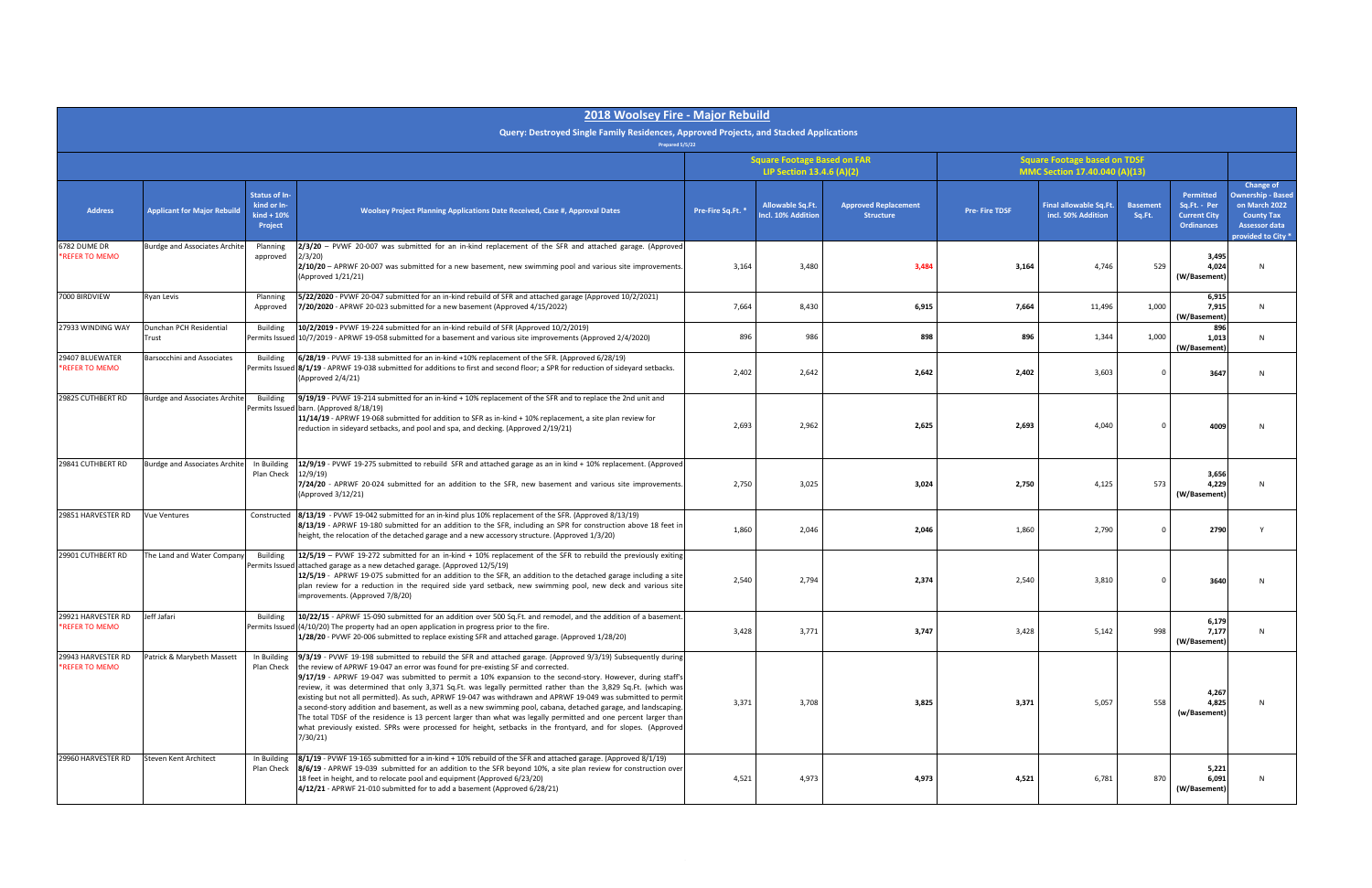|                                      |                                      |                                                                | 2018 Woolsey Fire - Major Rebuild                                                                                                                                                                                                                                                                                                                                                                                                                                                                                                                                                                                                                                                                                                                                                                                                                                                                                      |                   |                                                                 |                                                 |                                                                      |                                              |                           |                                                                       |                                                                                                                          |
|--------------------------------------|--------------------------------------|----------------------------------------------------------------|------------------------------------------------------------------------------------------------------------------------------------------------------------------------------------------------------------------------------------------------------------------------------------------------------------------------------------------------------------------------------------------------------------------------------------------------------------------------------------------------------------------------------------------------------------------------------------------------------------------------------------------------------------------------------------------------------------------------------------------------------------------------------------------------------------------------------------------------------------------------------------------------------------------------|-------------------|-----------------------------------------------------------------|-------------------------------------------------|----------------------------------------------------------------------|----------------------------------------------|---------------------------|-----------------------------------------------------------------------|--------------------------------------------------------------------------------------------------------------------------|
|                                      |                                      |                                                                | Query: Destroyed Single Family Residences, Approved Projects, and Stacked Applications<br>Prepared 5/5/22                                                                                                                                                                                                                                                                                                                                                                                                                                                                                                                                                                                                                                                                                                                                                                                                              |                   |                                                                 |                                                 |                                                                      |                                              |                           |                                                                       |                                                                                                                          |
|                                      |                                      |                                                                |                                                                                                                                                                                                                                                                                                                                                                                                                                                                                                                                                                                                                                                                                                                                                                                                                                                                                                                        |                   | <b>Square Footage Based on FAR</b><br>LIP Section 13.4.6 (A)(2) |                                                 | <b>Square Footage based on TDSF</b><br>MMC Section 17.40.040 (A)(13) |                                              |                           |                                                                       |                                                                                                                          |
| <b>Address</b>                       | <b>Applicant for Major Rebuild</b>   | <b>Status of In-</b><br>kind or In-<br>$kind + 10%$<br>Project | <b>Woolsey Project Planning Applications Date Received, Case #, Approval Dates</b>                                                                                                                                                                                                                                                                                                                                                                                                                                                                                                                                                                                                                                                                                                                                                                                                                                     | Pre-Fire Sq.Ft. * | <b>Allowable Sq.Ft</b><br>Incl. 10% Addition                    | <b>Approved Replacement</b><br><b>Structure</b> | <b>Pre-Fire TDSF</b>                                                 | Final allowable Sq.Ft.<br>incl. 50% Addition | <b>Basement</b><br>Sq.Ft. | Permitted<br>Sq.Ft. - Per<br><b>Current City</b><br><b>Ordinances</b> | Change of<br><b>Ownership - Based</b><br>on March 2022<br><b>County Tax</b><br><b>Assessor data</b><br>provided to City* |
| 6782 DUME DR<br>*REFER TO MEMO       | <b>Burdge and Associates Archite</b> | Planning<br>approved                                           | $2/3/20$ – PVWF 20-007 was submitted for an in-kind replacement of the SFR and attached garage. (Approved<br>2/3/20<br>2/10/20 - APRWF 20-007 was submitted for a new basement, new swimming pool and various site improvements<br>(Approved 1/21/21)                                                                                                                                                                                                                                                                                                                                                                                                                                                                                                                                                                                                                                                                  | 3,164             | 3,480                                                           | 3,484                                           | 3,164                                                                | 4,746                                        | 529                       | 3,495<br>4.024<br>(W/Basement)                                        |                                                                                                                          |
| 7000 BIRDVIEW                        | Ryan Levis                           | Planning<br>Approved                                           | 5/22/2020 - PVWF 20-047 submitted for an in-kind rebuild of SFR and attached garage (Approved 10/2/2021)<br>7/20/2020 - APRWF 20-023 submitted for a new basement (Approved 4/15/2022)                                                                                                                                                                                                                                                                                                                                                                                                                                                                                                                                                                                                                                                                                                                                 | 7,664             | 8,430                                                           | 6,915                                           | 7,664                                                                | 11,496                                       | 1,000                     | 6,915<br>7,915<br>(W/Basement)                                        | N                                                                                                                        |
| 27933 WINDING WAY                    | Dunchan PCH Residential<br>Trust     | <b>Building</b>                                                | 10/2/2019 - PVWF 19-224 submitted for an in-kind rebuild of SFR (Approved 10/2/2019)<br>Permits Issued 10/7/2019 - APRWF 19-058 submitted for a basement and various site improvements (Approved 2/4/2020)                                                                                                                                                                                                                                                                                                                                                                                                                                                                                                                                                                                                                                                                                                             | 896               | 986                                                             | 898                                             | 896                                                                  | 1,344                                        | 1,000                     | 896<br>1,013<br>(W/Basement)                                          | N                                                                                                                        |
| 29407 BLUEWATER<br>*REFER TO MEMO    | Barsocchini and Associates           | <b>Building</b>                                                | 6/28/19 - PVWF 19-138 submitted for an in-kind +10% replacement of the SFR. (Approved 6/28/19)<br>Permits Issued 8/1/19 - APRWF 19-038 submitted for additions to first and second floor; a SPR for reduction of sidevard setbacks.<br>(Approved 2/4/21)                                                                                                                                                                                                                                                                                                                                                                                                                                                                                                                                                                                                                                                               | 2,402             | 2,642                                                           | 2,642                                           | 2,402                                                                | 3,603                                        |                           | 3647                                                                  |                                                                                                                          |
| 29825 CUTHBERT RD                    | <b>Burdge and Associates Archite</b> | <b>Building</b>                                                | 9/19/19 - PVWF 19-214 submitted for an in-kind + 10% replacement of the SFR and to replace the 2nd unit and<br>Permits Issued barn. (Approved 8/18/19)<br>11/14/19 - APRWF 19-068 submitted for addition to SFR as in-kind + 10% replacement, a site plan review for<br>reduction in sideyard setbacks, and pool and spa, and decking. (Approved 2/19/21)                                                                                                                                                                                                                                                                                                                                                                                                                                                                                                                                                              | 2,693             | 2,962                                                           | 2,625                                           | 2,693                                                                | 4,040                                        |                           | 4009                                                                  |                                                                                                                          |
| 29841 CUTHBERT RD                    | <b>Burdge and Associates Archite</b> | In Building<br>Plan Check                                      | 12/9/19 - PVWF 19-275 submitted to rebuild SFR and attached garage as an in kind + 10% replacement. (Approved<br>12/9/19<br>7/24/20 - APRWF 20-024 submitted for an addition to the SFR, new basement and various site improvements.<br>(Approved 3/12/21)                                                                                                                                                                                                                                                                                                                                                                                                                                                                                                                                                                                                                                                             | 2,750             | 3,025                                                           | 3,024                                           | 2,750                                                                | 4,125                                        | 573                       | 3,656<br>4,229<br>(W/Basement)                                        |                                                                                                                          |
| 29851 HARVESTER RD                   | <b>Vue Ventures</b>                  | Constructed                                                    | 8/13/19 - PVWF 19-042 submitted for an in-kind plus 10% replacement of the SFR. (Approved 8/13/19)<br>8/13/19 - APRWF 19-180 submitted for an addition to the SFR, including an SPR for construction above 18 feet in<br>height, the relocation of the detached garage and a new accessory structure. (Approved 1/3/20)                                                                                                                                                                                                                                                                                                                                                                                                                                                                                                                                                                                                | 1,860             | 2,046                                                           | 2,046                                           | 1,860                                                                | 2,790                                        |                           | 2790                                                                  |                                                                                                                          |
| 29901 CUTHBERT RD                    | The Land and Water Company           | <b>Building</b>                                                | 12/5/19 - PVWF 19-272 submitted for an in-kind + 10% replacement of the SFR to rebuild the previously exiting<br>Permits Issued attached garage as a new detached garage. (Approved 12/5/19)<br>12/5/19 - APRWF 19-075 submitted for an addition to the SFR, an addition to the detached garage including a site<br>plan review for a reduction in the required side yard setback, new swimming pool, new deck and various site<br>improvements. (Approved 7/8/20)                                                                                                                                                                                                                                                                                                                                                                                                                                                     | 2,540             | 2,794                                                           | 2,374                                           | 2,540                                                                | 3,810                                        |                           | 3640                                                                  |                                                                                                                          |
| 29921 HARVESTER RD<br>*REFER TO MEMO | Jeff Jafari                          | <b>Building</b>                                                | 10/22/15 - APRWF 15-090 submitted for an addition over 500 Sq.Ft. and remodel, and the addition of a basement.<br>Permits Issued $(4/10/20)$ The property had an open application in progress prior to the fire.<br>1/28/20 - PVWF 20-006 submitted to replace existing SFR and attached garage. (Approved 1/28/20)                                                                                                                                                                                                                                                                                                                                                                                                                                                                                                                                                                                                    | 3,428             | 3,771                                                           | 3,747                                           | 3,428                                                                | 5,142                                        | 998                       | 6,179<br>7,177<br>(W/Basement)                                        |                                                                                                                          |
| 29943 HARVESTER RD<br>*REFER TO MEMO | Patrick & Marybeth Massett           | In Building<br>Plan Check                                      | 9/3/19 - PVWF 19-198 submitted to rebuild the SFR and attached garage. (Approved 9/3/19) Subsequently during<br>the review of APRWF 19-047 an error was found for pre-existing SF and corrected.<br>9/17/19 - APRWF 19-047 was submitted to permit a 10% expansion to the second-story. However, during staff's<br>review, it was determined that only 3,371 Sq.Ft. was legally permitted rather than the 3,829 Sq.Ft. (which was<br>existing but not all permitted). As such, APRWF 19-047 was withdrawn and APRWF 19-049 was submitted to permit<br>a second-story addition and basement, as well as a new swimming pool, cabana, detached garage, and landscaping.<br>The total TDSF of the residence is 13 percent larger than what was legally permitted and one percent larger than<br>what previously existed. SPRs were processed for height, setbacks in the frontyard, and for slopes. (Approved<br>7/30/21) | 3,371             | 3,708                                                           | 3,825                                           | 3,371                                                                | 5,057                                        | 558                       | 4,267<br>4,825<br>(w/Basement)                                        |                                                                                                                          |
| 29960 HARVESTER RD                   | Steven Kent Architect                | In Building<br>Plan Check                                      | 8/1/19 - PVWF 19-165 submitted for a in-kind + 10% rebuild of the SFR and attached garage. (Approved 8/1/19)<br>8/6/19 - APRWF 19-039 submitted for an addition to the SFR beyond 10%, a site plan review for construction over<br>18 feet in height, and to relocate pool and equipment (Approved 6/23/20)<br>4/12/21 - APRWF 21-010 submitted for to add a basement (Approved 6/28/21)                                                                                                                                                                                                                                                                                                                                                                                                                                                                                                                               | 4,521             | 4,973                                                           | 4,973                                           | 4,521                                                                | 6,781                                        | 870                       | 5,221<br>6,091<br>(W/Basement)                                        |                                                                                                                          |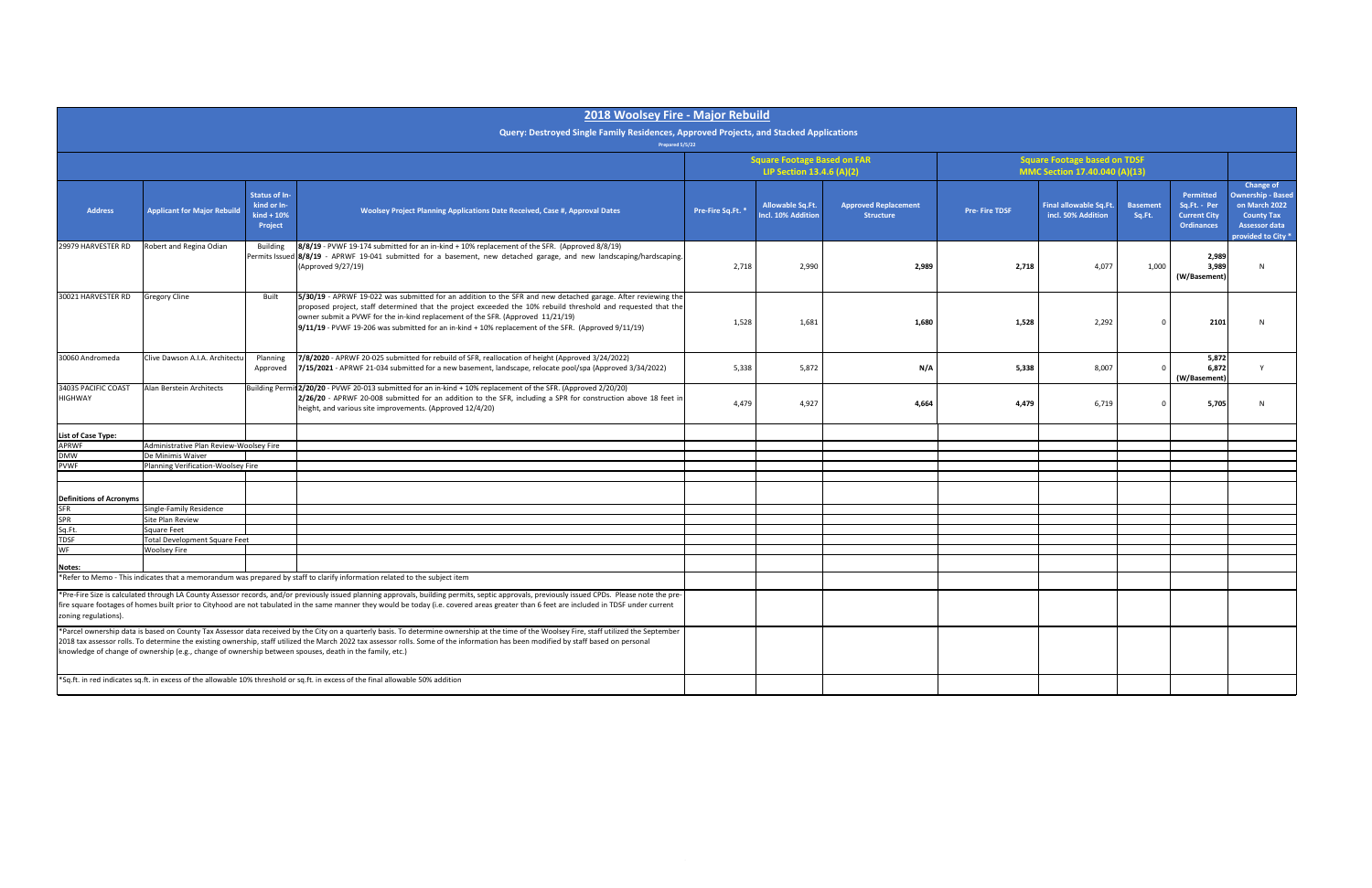|                                                                                                                                                                                                                                                                                                                                                                                                                     |                                                                                                                                                                                                                                                                                                                                                                                                                                                                                                |                                                                | 2018 Woolsey Fire - Major Rebuild                                                                                                                                                                                                                                                                                                                                                                                       |                   |                                                                 |                                                 |                                                                      |                                              |                           |                                                                       |                                                                                                                           |  |
|---------------------------------------------------------------------------------------------------------------------------------------------------------------------------------------------------------------------------------------------------------------------------------------------------------------------------------------------------------------------------------------------------------------------|------------------------------------------------------------------------------------------------------------------------------------------------------------------------------------------------------------------------------------------------------------------------------------------------------------------------------------------------------------------------------------------------------------------------------------------------------------------------------------------------|----------------------------------------------------------------|-------------------------------------------------------------------------------------------------------------------------------------------------------------------------------------------------------------------------------------------------------------------------------------------------------------------------------------------------------------------------------------------------------------------------|-------------------|-----------------------------------------------------------------|-------------------------------------------------|----------------------------------------------------------------------|----------------------------------------------|---------------------------|-----------------------------------------------------------------------|---------------------------------------------------------------------------------------------------------------------------|--|
|                                                                                                                                                                                                                                                                                                                                                                                                                     |                                                                                                                                                                                                                                                                                                                                                                                                                                                                                                |                                                                | Query: Destroyed Single Family Residences, Approved Projects, and Stacked Applications<br>Prepared 5/5/22                                                                                                                                                                                                                                                                                                               |                   |                                                                 |                                                 |                                                                      |                                              |                           |                                                                       |                                                                                                                           |  |
|                                                                                                                                                                                                                                                                                                                                                                                                                     |                                                                                                                                                                                                                                                                                                                                                                                                                                                                                                |                                                                |                                                                                                                                                                                                                                                                                                                                                                                                                         |                   | <b>Square Footage Based on FAR</b><br>LIP Section 13.4.6 (A)(2) |                                                 | <b>Square Footage based on TDSF</b><br>MMC Section 17.40.040 (A)(13) |                                              |                           |                                                                       |                                                                                                                           |  |
| <b>Address</b>                                                                                                                                                                                                                                                                                                                                                                                                      | <b>Applicant for Major Rebuild</b>                                                                                                                                                                                                                                                                                                                                                                                                                                                             | <b>Status of In-</b><br>kind or In-<br>$kind + 10%$<br>Project | Woolsey Project Planning Applications Date Received, Case #, Approval Dates                                                                                                                                                                                                                                                                                                                                             | Pre-Fire Sq.Ft. * | Allowable Sq.Ft.<br>Incl. 10% Addition                          | <b>Approved Replacement</b><br><b>Structure</b> | <b>Pre-Fire TDSF</b>                                                 | Final allowable Sq.Ft.<br>incl. 50% Addition | <b>Basement</b><br>Sq.Ft. | Permitted<br>Sq.Ft. - Per<br><b>Current City</b><br><b>Ordinances</b> | Change of<br><b>Ownership - Based</b><br>on March 2022<br><b>County Tax</b><br><b>Assessor data</b><br>provided to City * |  |
| 29979 HARVESTER RD                                                                                                                                                                                                                                                                                                                                                                                                  | Robert and Regina Odian                                                                                                                                                                                                                                                                                                                                                                                                                                                                        | <b>Building</b>                                                | 8/8/19 - PVWF 19-174 submitted for an in-kind + 10% replacement of the SFR. (Approved 8/8/19)<br>Permits Issued 8/8/19 - APRWF 19-041 submitted for a basement, new detached garage, and new landscaping/hardscaping.<br>(Approved 9/27/19)                                                                                                                                                                             | 2,718             | 2,990                                                           | 2,989                                           | 2,718                                                                | 4,077                                        | 1,000                     | 2,989<br>3,989<br>(W/Basement)                                        | N                                                                                                                         |  |
| 30021 HARVESTER RD                                                                                                                                                                                                                                                                                                                                                                                                  | <b>Gregory Cline</b>                                                                                                                                                                                                                                                                                                                                                                                                                                                                           | Built                                                          | 5/30/19 - APRWF 19-022 was submitted for an addition to the SFR and new detached garage. After reviewing the<br>proposed project, staff determined that the project exceeded the 10% rebuild threshold and requested that the<br>owner submit a PVWF for the in-kind replacement of the SFR. (Approved 11/21/19)<br>9/11/19 - PVWF 19-206 was submitted for an in-kind + 10% replacement of the SFR. (Approved 9/11/19) | 1,528             | 1,681                                                           | 1,680                                           | 1,528                                                                | 2,292                                        |                           | 2101                                                                  |                                                                                                                           |  |
| 30060 Andromeda                                                                                                                                                                                                                                                                                                                                                                                                     | Clive Dawson A.I.A. Architectu                                                                                                                                                                                                                                                                                                                                                                                                                                                                 | Planning<br>Approved                                           | 7/8/2020 - APRWF 20-025 submitted for rebuild of SFR, reallocation of height (Approved 3/24/2022)<br>7/15/2021 - APRWF 21-034 submitted for a new basement, landscape, relocate pool/spa (Approved 3/34/2022)                                                                                                                                                                                                           | 5,338             | 5,872                                                           | N/A                                             | 5,338                                                                | 8,007                                        |                           | 5,872<br>6,872<br>(W/Basement)                                        |                                                                                                                           |  |
| 34035 PACIFIC COAST<br><b>HIGHWAY</b>                                                                                                                                                                                                                                                                                                                                                                               | Alan Berstein Architects                                                                                                                                                                                                                                                                                                                                                                                                                                                                       |                                                                | Building Permit 2/20/20 - PVWF 20-013 submitted for an in-kind + 10% replacement of the SFR. (Approved 2/20/20)<br>2/26/20 - APRWF 20-008 submitted for an addition to the SFR, including a SPR for construction above 18 feet in<br>height, and various site improvements. (Approved 12/4/20)                                                                                                                          | 4,479             | 4,927                                                           | 4,664                                           | 4,479                                                                | 6,719                                        |                           | 5,705                                                                 |                                                                                                                           |  |
| List of Case Type:<br><b>APRWF</b>                                                                                                                                                                                                                                                                                                                                                                                  | Administrative Plan Review-Woolsey Fire                                                                                                                                                                                                                                                                                                                                                                                                                                                        |                                                                |                                                                                                                                                                                                                                                                                                                                                                                                                         |                   |                                                                 |                                                 |                                                                      |                                              |                           |                                                                       |                                                                                                                           |  |
| DMW                                                                                                                                                                                                                                                                                                                                                                                                                 | De Minimis Waiver                                                                                                                                                                                                                                                                                                                                                                                                                                                                              |                                                                |                                                                                                                                                                                                                                                                                                                                                                                                                         |                   |                                                                 |                                                 |                                                                      |                                              |                           |                                                                       |                                                                                                                           |  |
| <b>PVWF</b>                                                                                                                                                                                                                                                                                                                                                                                                         | Planning Verification-Woolsey Fire                                                                                                                                                                                                                                                                                                                                                                                                                                                             |                                                                |                                                                                                                                                                                                                                                                                                                                                                                                                         |                   |                                                                 |                                                 |                                                                      |                                              |                           |                                                                       |                                                                                                                           |  |
| <b>Definitions of Acronyms</b>                                                                                                                                                                                                                                                                                                                                                                                      |                                                                                                                                                                                                                                                                                                                                                                                                                                                                                                |                                                                |                                                                                                                                                                                                                                                                                                                                                                                                                         |                   |                                                                 |                                                 |                                                                      |                                              |                           |                                                                       |                                                                                                                           |  |
| SFR                                                                                                                                                                                                                                                                                                                                                                                                                 | Single-Family Residence                                                                                                                                                                                                                                                                                                                                                                                                                                                                        |                                                                |                                                                                                                                                                                                                                                                                                                                                                                                                         |                   |                                                                 |                                                 |                                                                      |                                              |                           |                                                                       |                                                                                                                           |  |
| SPR                                                                                                                                                                                                                                                                                                                                                                                                                 | Site Plan Review                                                                                                                                                                                                                                                                                                                                                                                                                                                                               |                                                                |                                                                                                                                                                                                                                                                                                                                                                                                                         |                   |                                                                 |                                                 |                                                                      |                                              |                           |                                                                       |                                                                                                                           |  |
| Sq.Ft.<br><b>TDSF</b>                                                                                                                                                                                                                                                                                                                                                                                               | Square Feet<br>Total Development Square Feet                                                                                                                                                                                                                                                                                                                                                                                                                                                   |                                                                |                                                                                                                                                                                                                                                                                                                                                                                                                         |                   |                                                                 |                                                 |                                                                      |                                              |                           |                                                                       |                                                                                                                           |  |
| WF                                                                                                                                                                                                                                                                                                                                                                                                                  | <b>Woolsey Fire</b>                                                                                                                                                                                                                                                                                                                                                                                                                                                                            |                                                                |                                                                                                                                                                                                                                                                                                                                                                                                                         |                   |                                                                 |                                                 |                                                                      |                                              |                           |                                                                       |                                                                                                                           |  |
|                                                                                                                                                                                                                                                                                                                                                                                                                     |                                                                                                                                                                                                                                                                                                                                                                                                                                                                                                |                                                                |                                                                                                                                                                                                                                                                                                                                                                                                                         |                   |                                                                 |                                                 |                                                                      |                                              |                           |                                                                       |                                                                                                                           |  |
| Notes:                                                                                                                                                                                                                                                                                                                                                                                                              |                                                                                                                                                                                                                                                                                                                                                                                                                                                                                                |                                                                | *Refer to Memo - This indicates that a memorandum was prepared by staff to clarify information related to the subject item                                                                                                                                                                                                                                                                                              |                   |                                                                 |                                                 |                                                                      |                                              |                           |                                                                       |                                                                                                                           |  |
| *Pre-Fire Size is calculated through LA County Assessor records, and/or previously issued planning approvals, building permits, septic approvals, previously issued CPDs. Please note the pre-<br>fire square footages of homes built prior to Cityhood are not tabulated in the same manner they would be today (i.e. covered areas greater than 6 feet are included in TDSF under current<br>zoning regulations). |                                                                                                                                                                                                                                                                                                                                                                                                                                                                                                |                                                                |                                                                                                                                                                                                                                                                                                                                                                                                                         |                   |                                                                 |                                                 |                                                                      |                                              |                           |                                                                       |                                                                                                                           |  |
|                                                                                                                                                                                                                                                                                                                                                                                                                     | *Parcel ownership data is based on County Tax Assessor data received by the City on a quarterly basis. To determine ownership at the time of the Woolsey Fire, staff utilized the September<br>2018 tax assessor rolls. To determine the existing ownership, staff utilized the March 2022 tax assessor rolls. Some of the information has been modified by staff based on personal<br>knowledge of change of ownership (e.g., change of ownership between spouses, death in the family, etc.) |                                                                |                                                                                                                                                                                                                                                                                                                                                                                                                         |                   |                                                                 |                                                 |                                                                      |                                              |                           |                                                                       |                                                                                                                           |  |
|                                                                                                                                                                                                                                                                                                                                                                                                                     |                                                                                                                                                                                                                                                                                                                                                                                                                                                                                                |                                                                | *Sq.ft. in red indicates sq.ft. in excess of the allowable 10% threshold or sq.ft. in excess of the final allowable 50% addition                                                                                                                                                                                                                                                                                        |                   |                                                                 |                                                 |                                                                      |                                              |                           |                                                                       |                                                                                                                           |  |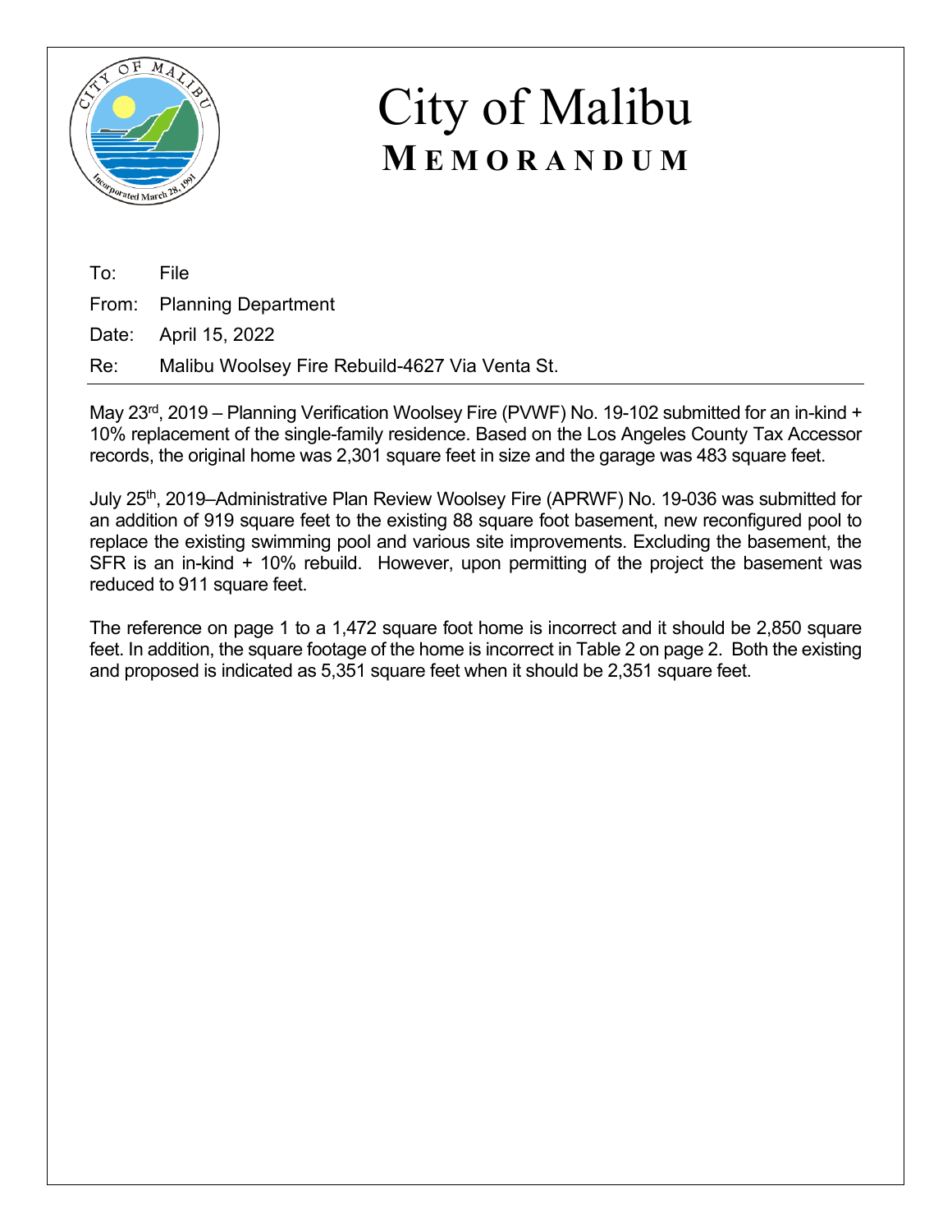

To: File From: Planning Department Date: April 15, 2022

Re: Malibu Woolsey Fire Rebuild-4627 Via Venta St.

May 23<sup>rd</sup>, 2019 – Planning Verification Woolsey Fire (PVWF) No. 19-102 submitted for an in-kind + 10% replacement of the single-family residence. Based on the Los Angeles County Tax Accessor records, the original home was 2,301 square feet in size and the garage was 483 square feet.

July 25<sup>th</sup>, 2019–Administrative Plan Review Woolsey Fire (APRWF) No. 19-036 was submitted for an addition of 919 square feet to the existing 88 square foot basement, new reconfigured pool to replace the existing swimming pool and various site improvements. Excluding the basement, the SFR is an in-kind + 10% rebuild. However, upon permitting of the project the basement was reduced to 911 square feet.

The reference on page 1 to a 1,472 square foot home is incorrect and it should be 2,850 square feet. In addition, the square footage of the home is incorrect in Table 2 on page 2. Both the existing and proposed is indicated as 5,351 square feet when it should be 2,351 square feet.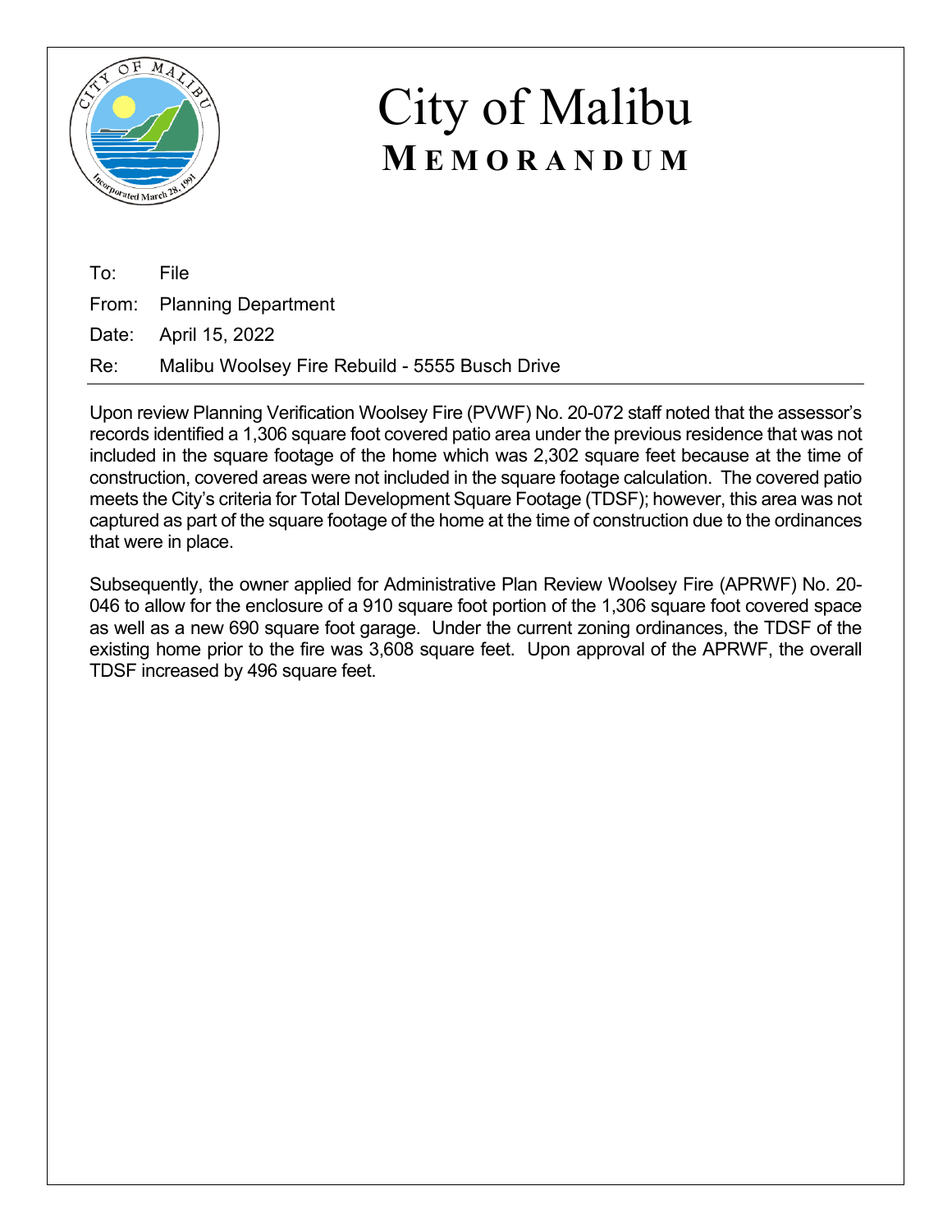

To: File From: Planning Department Date: April 15, 2022 Re: Malibu Woolsey Fire Rebuild - 5555 Busch Drive

Upon review Planning Verification Woolsey Fire (PVWF) No. 20-072 staff noted that the assessor's records identified a 1,306 square foot covered patio area under the previous residence that was not included in the square footage of the home which was 2,302 square feet because at the time of construction, covered areas were not included in the square footage calculation. The covered patio meets the City's criteria for Total Development Square Footage (TDSF); however, this area was not captured as part of the square footage of the home at the time of construction due to the ordinances that were in place.

Subsequently, the owner applied for Administrative Plan Review Woolsey Fire (APRWF) No. 20- 046 to allow for the enclosure of a 910 square foot portion of the 1,306 square foot covered space as well as a new 690 square foot garage. Under the current zoning ordinances, the TDSF of the existing home prior to the fire was 3,608 square feet. Upon approval of the APRWF, the overall TDSF increased by 496 square feet.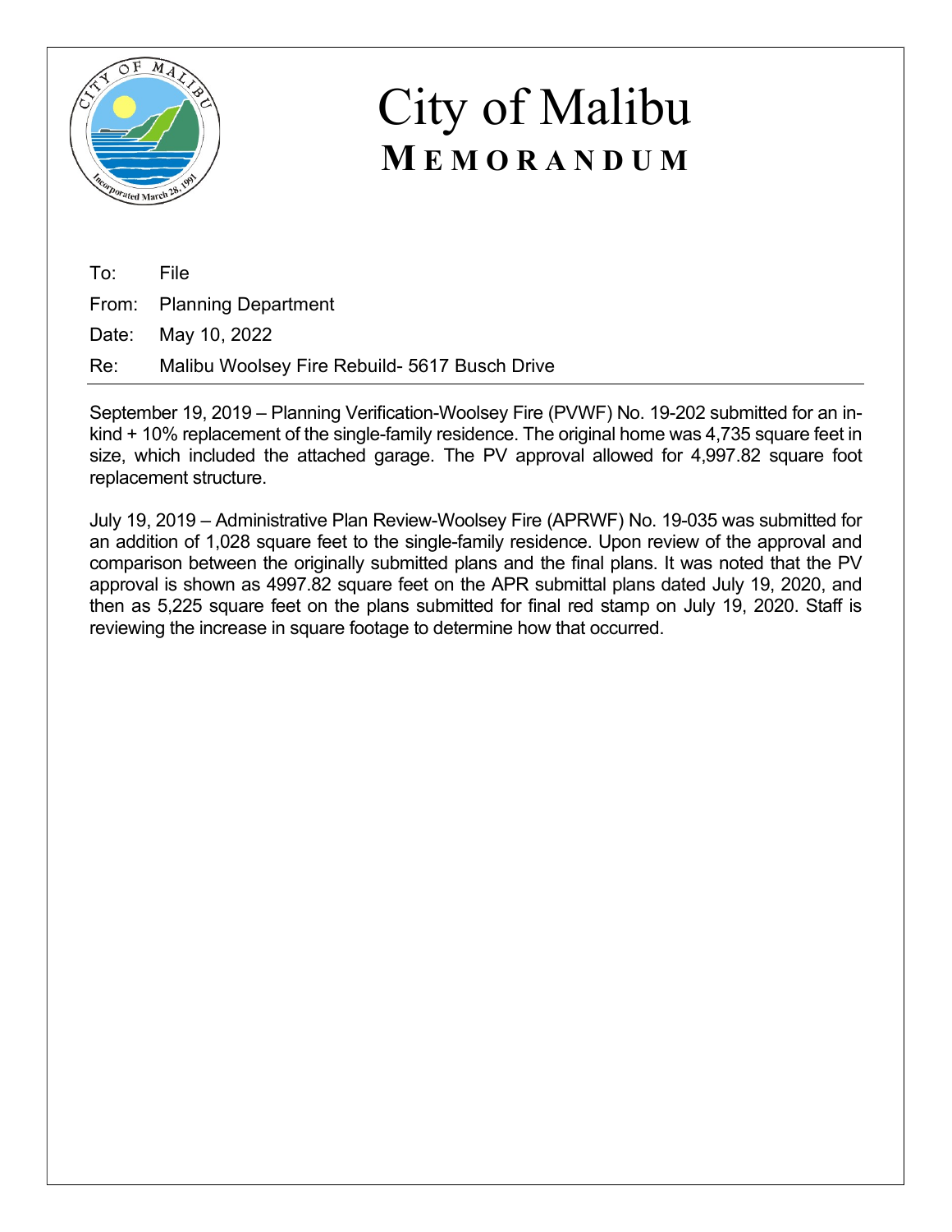

To: File From: Planning Department Date: May 10, 2022

Re: Malibu Woolsey Fire Rebuild- 5617 Busch Drive

September 19, 2019 – Planning Verification-Woolsey Fire (PVWF) No. 19-202 submitted for an inkind + 10% replacement of the single-family residence. The original home was 4,735 square feet in size, which included the attached garage. The PV approval allowed for 4,997.82 square foot replacement structure.

July 19, 2019 – Administrative Plan Review-Woolsey Fire (APRWF) No. 19-035 was submitted for an addition of 1,028 square feet to the single-family residence. Upon review of the approval and comparison between the originally submitted plans and the final plans. It was noted that the PV approval is shown as 4997.82 square feet on the APR submittal plans dated July 19, 2020, and then as 5,225 square feet on the plans submitted for final red stamp on July 19, 2020. Staff is reviewing the increase in square footage to determine how that occurred.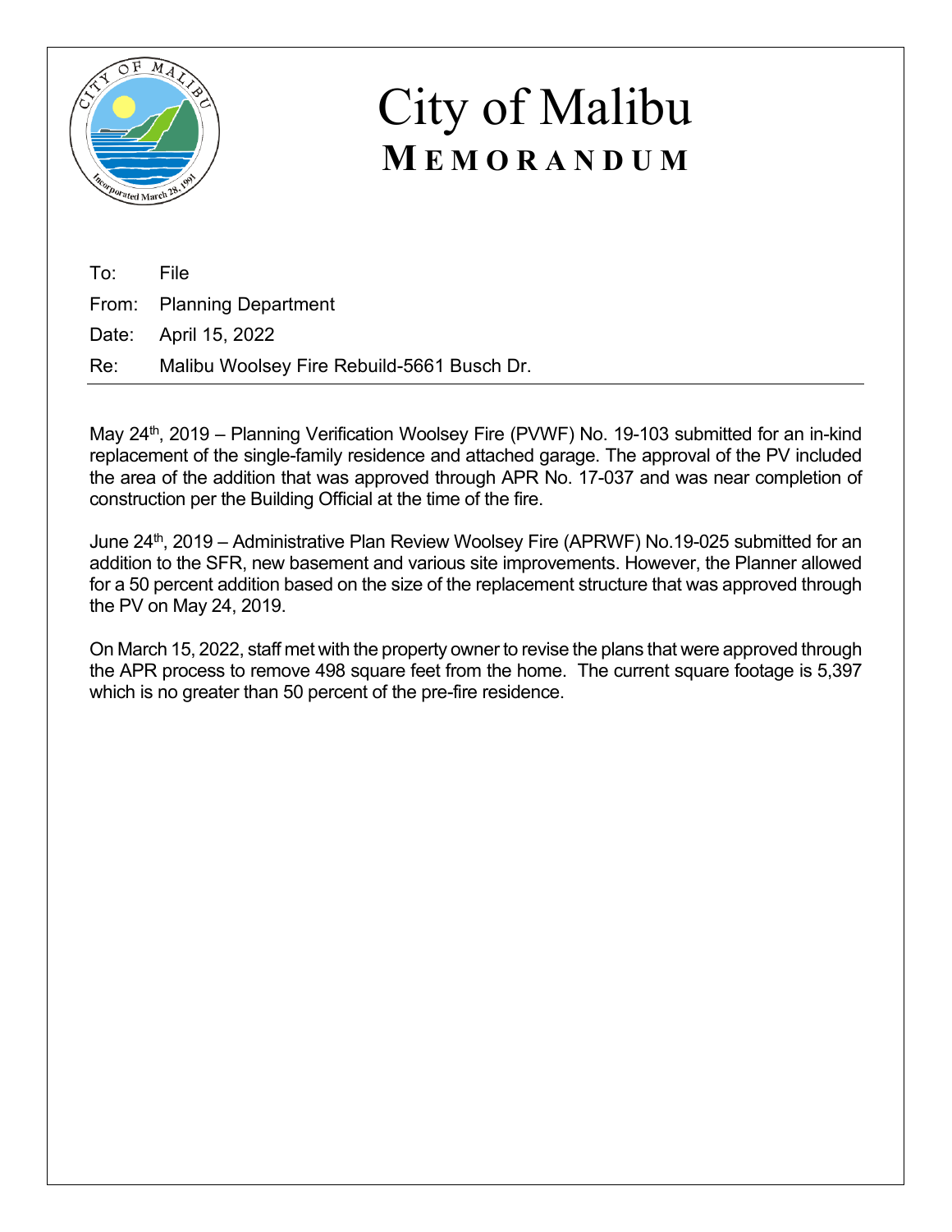

To: File From: Planning Department Date: April 15, 2022 Re: Malibu Woolsey Fire Rebuild-5661 Busch Dr.

May 24<sup>th</sup>, 2019 – Planning Verification Woolsey Fire (PVWF) No. 19-103 submitted for an in-kind replacement of the single-family residence and attached garage. The approval of the PV included the area of the addition that was approved through APR No. 17-037 and was near completion of construction per the Building Official at the time of the fire.

June 24<sup>th</sup>, 2019 – Administrative Plan Review Woolsey Fire (APRWF) No.19-025 submitted for an addition to the SFR, new basement and various site improvements. However, the Planner allowed for a 50 percent addition based on the size of the replacement structure that was approved through the PV on May 24, 2019.

On March 15, 2022, staff met with the property owner to revise the plans that were approved through the APR process to remove 498 square feet from the home. The current square footage is 5,397 which is no greater than 50 percent of the pre-fire residence.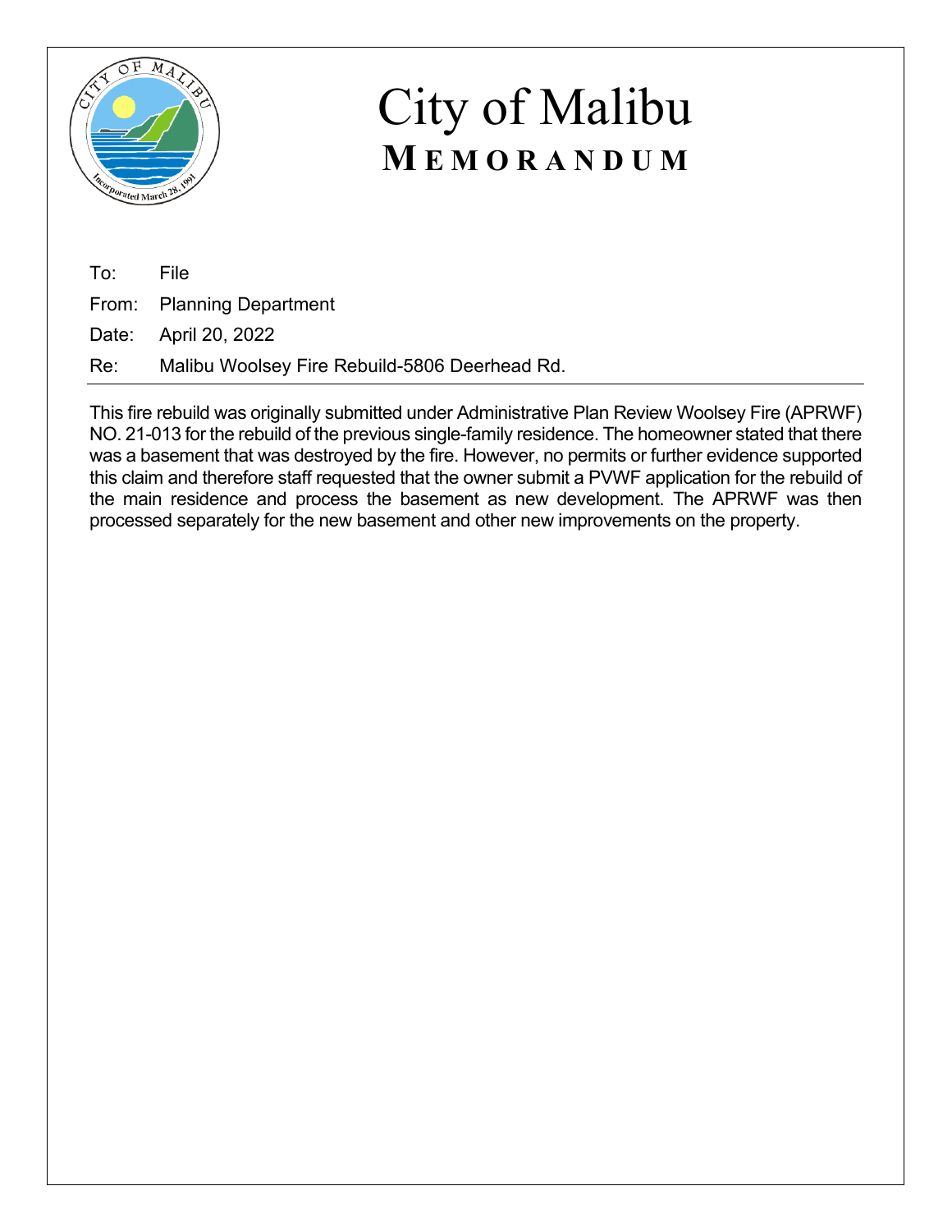

To: File From: Planning Department Date: April 20, 2022 Re: Malibu Woolsey Fire Rebuild-5806 Deerhead Rd.

This fire rebuild was originally submitted under Administrative Plan Review Woolsey Fire (APRWF) NO. 21-013 for the rebuild of the previous single-family residence. The homeowner stated that there was a basement that was destroyed by the fire. However, no permits or further evidence supported this claim and therefore staff requested that the owner submit a PVWF application for the rebuild of the main residence and process the basement as new development. The APRWF was then processed separately for the new basement and other new improvements on the property.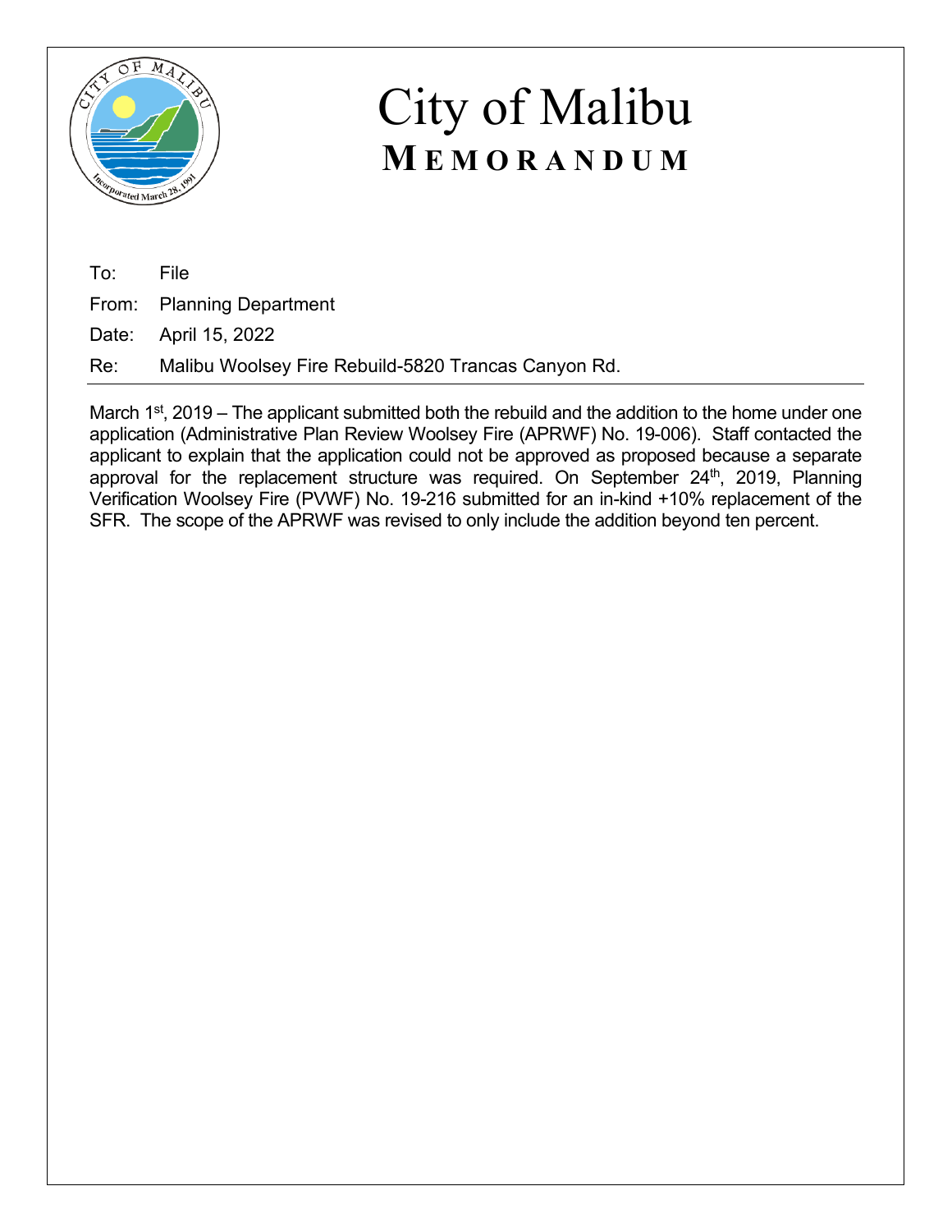

To: File

From: Planning Department

Date: April 15, 2022

Re: Malibu Woolsey Fire Rebuild-5820 Trancas Canyon Rd.

March  $1<sup>st</sup>$ , 2019 – The applicant submitted both the rebuild and the addition to the home under one application (Administrative Plan Review Woolsey Fire (APRWF) No. 19-006). Staff contacted the applicant to explain that the application could not be approved as proposed because a separate approval for the replacement structure was required. On September  $24<sup>th</sup>$ , 2019, Planning Verification Woolsey Fire (PVWF) No. 19-216 submitted for an in-kind +10% replacement of the SFR. The scope of the APRWF was revised to only include the addition beyond ten percent.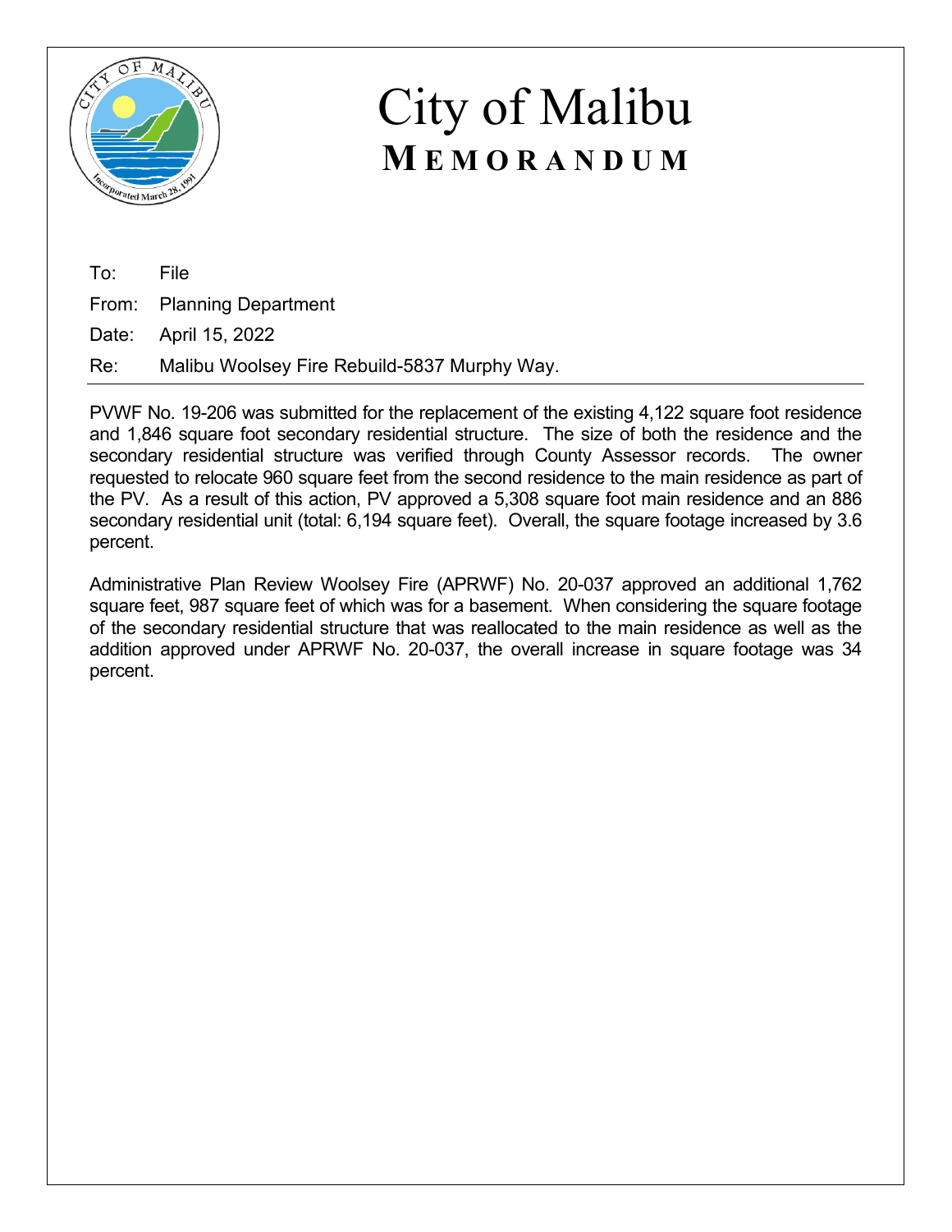

To: File From: Planning Department Date: April 15, 2022

Re: Malibu Woolsey Fire Rebuild-5837 Murphy Way.

PVWF No. 19-206 was submitted for the replacement of the existing 4,122 square foot residence and 1,846 square foot secondary residential structure. The size of both the residence and the secondary residential structure was verified through County Assessor records. The owner requested to relocate 960 square feet from the second residence to the main residence as part of the PV. As a result of this action, PV approved a 5,308 square foot main residence and an 886 secondary residential unit (total: 6,194 square feet). Overall, the square footage increased by 3.6 percent.

Administrative Plan Review Woolsey Fire (APRWF) No. 20-037 approved an additional 1,762 square feet, 987 square feet of which was for a basement. When considering the square footage of the secondary residential structure that was reallocated to the main residence as well as the addition approved under APRWF No. 20-037, the overall increase in square footage was 34 percent.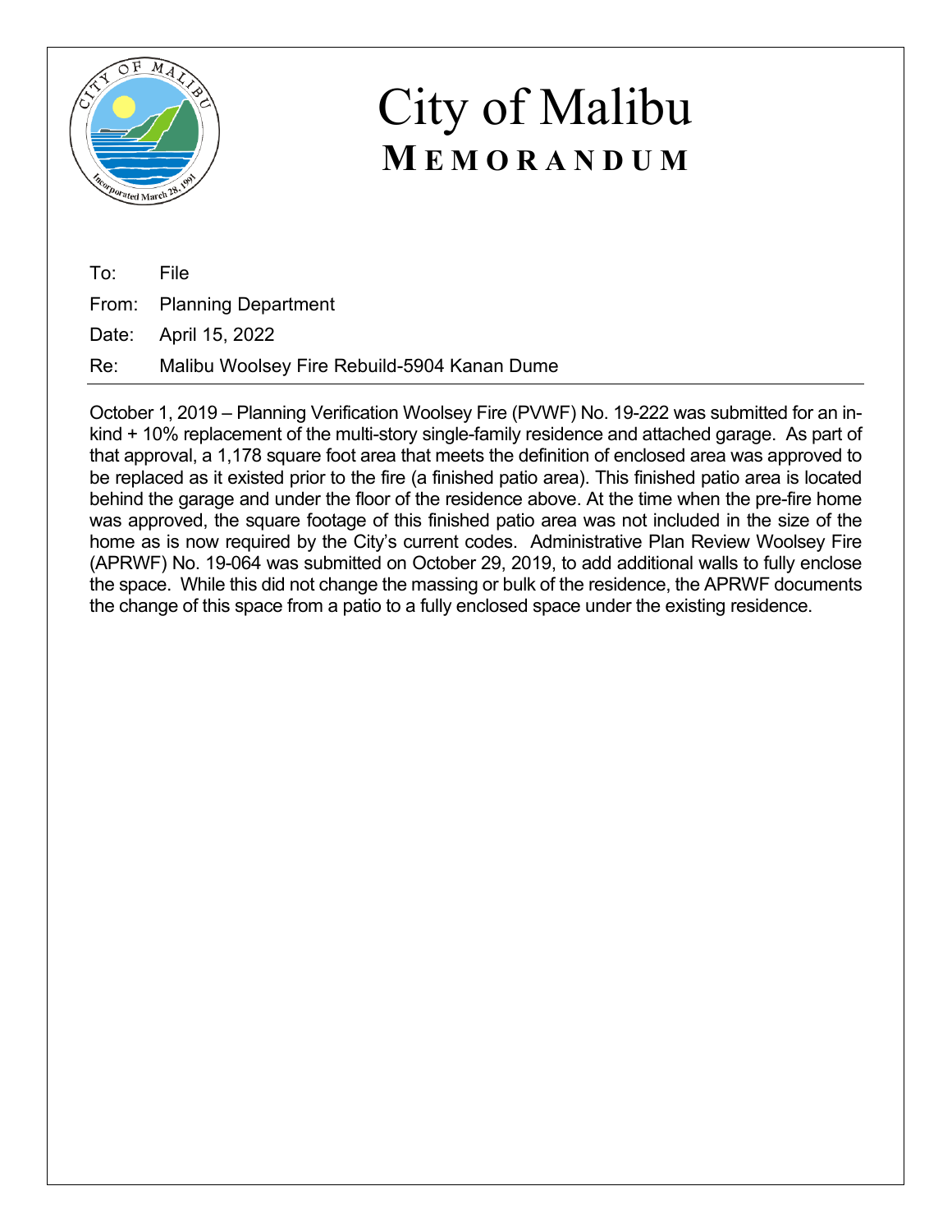

To: File From: Planning Department Date: April 15, 2022

Re: Malibu Woolsey Fire Rebuild-5904 Kanan Dume

October 1, 2019 – Planning Verification Woolsey Fire (PVWF) No. 19-222 was submitted for an inkind + 10% replacement of the multi-story single-family residence and attached garage. As part of that approval, a 1,178 square foot area that meets the definition of enclosed area was approved to be replaced as it existed prior to the fire (a finished patio area). This finished patio area is located behind the garage and under the floor of the residence above. At the time when the pre-fire home was approved, the square footage of this finished patio area was not included in the size of the home as is now required by the City's current codes. Administrative Plan Review Woolsey Fire (APRWF) No. 19-064 was submitted on October 29, 2019, to add additional walls to fully enclose the space. While this did not change the massing or bulk of the residence, the APRWF documents the change of this space from a patio to a fully enclosed space under the existing residence.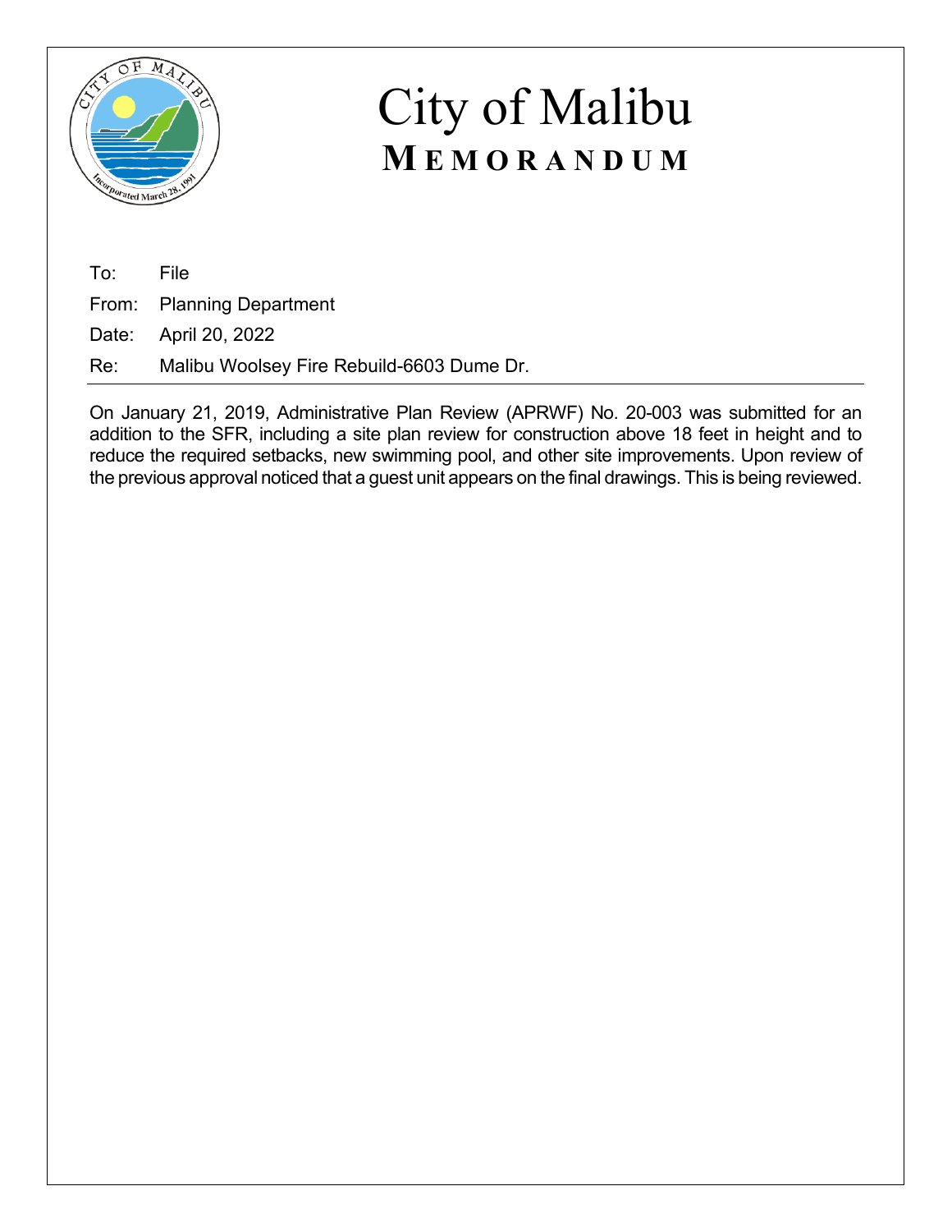

To: File

From: Planning Department

Date: April 20, 2022

Re: Malibu Woolsey Fire Rebuild-6603 Dume Dr.

On January 21, 2019, Administrative Plan Review (APRWF) No. 20-003 was submitted for an addition to the SFR, including a site plan review for construction above 18 feet in height and to reduce the required setbacks, new swimming pool, and other site improvements. Upon review of the previous approval noticed that a guest unit appears on the final drawings. This is being reviewed.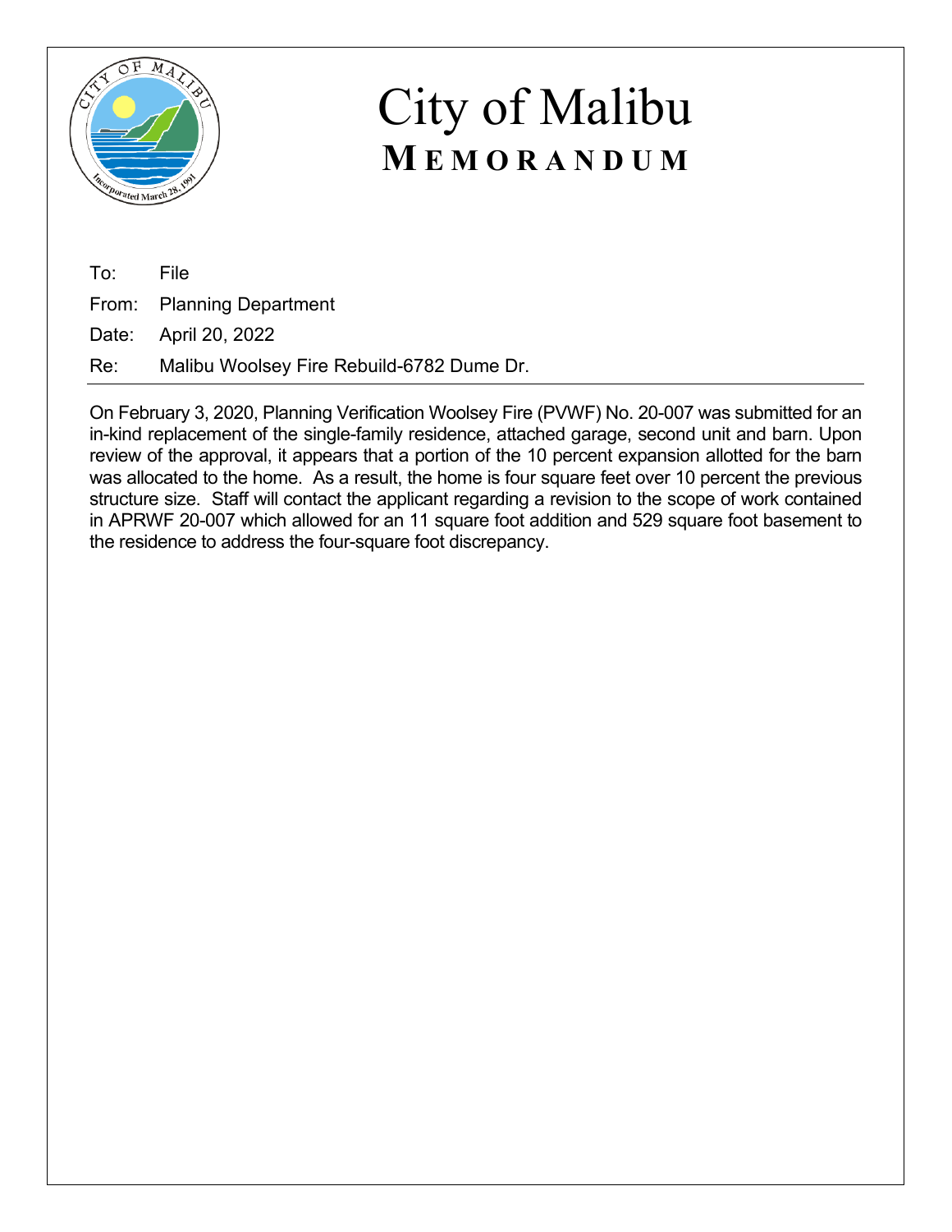

To: File From: Planning Department Date: April 20, 2022

Re: Malibu Woolsey Fire Rebuild-6782 Dume Dr.

On February 3, 2020, Planning Verification Woolsey Fire (PVWF) No. 20-007 was submitted for an in-kind replacement of the single-family residence, attached garage, second unit and barn. Upon review of the approval, it appears that a portion of the 10 percent expansion allotted for the barn was allocated to the home. As a result, the home is four square feet over 10 percent the previous structure size. Staff will contact the applicant regarding a revision to the scope of work contained in APRWF 20-007 which allowed for an 11 square foot addition and 529 square foot basement to the residence to address the four-square foot discrepancy.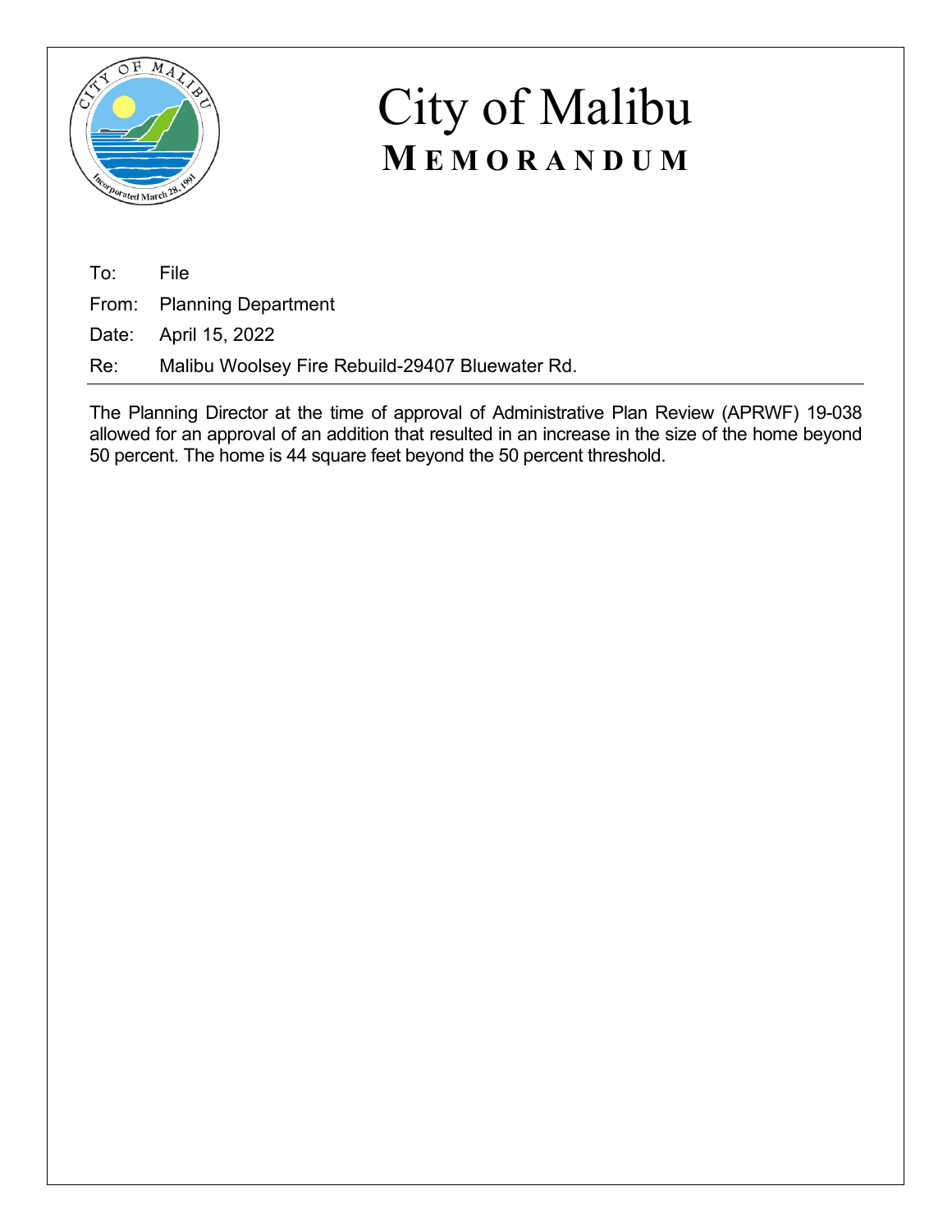

To: File

From: Planning Department

Date: April 15, 2022

Re: Malibu Woolsey Fire Rebuild-29407 Bluewater Rd.

The Planning Director at the time of approval of Administrative Plan Review (APRWF) 19-038 allowed for an approval of an addition that resulted in an increase in the size of the home beyond 50 percent. The home is 44 square feet beyond the 50 percent threshold.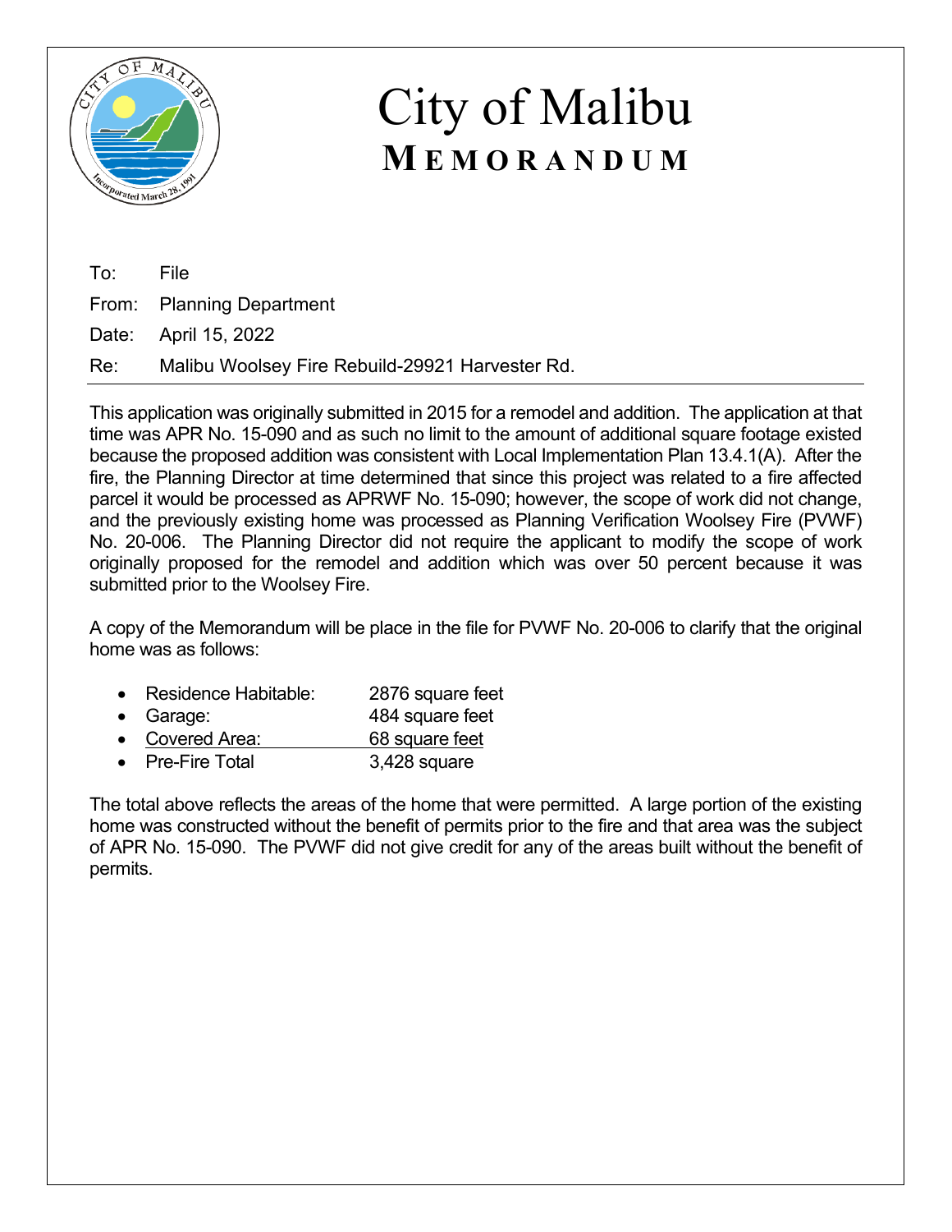

| To: File |                                                     |
|----------|-----------------------------------------------------|
|          | From: Planning Department                           |
|          | Date: April 15, 2022                                |
|          | Re: Malibu Woolsey Fire Rebuild-29921 Harvester Rd. |

This application was originally submitted in 2015 for a remodel and addition. The application at that time was APR No. 15-090 and as such no limit to the amount of additional square footage existed because the proposed addition was consistent with Local Implementation Plan 13.4.1(A). After the fire, the Planning Director at time determined that since this project was related to a fire affected parcel it would be processed as APRWF No. 15-090; however, the scope of work did not change, and the previously existing home was processed as Planning Verification Woolsey Fire (PVWF) No. 20-006. The Planning Director did not require the applicant to modify the scope of work originally proposed for the remodel and addition which was over 50 percent because it was submitted prior to the Woolsey Fire.

A copy of the Memorandum will be place in the file for PVWF No. 20-006 to clarify that the original home was as follows:

- Residence Habitable: 2876 square feet
- Garage: 484 square feet
- Covered Area: 68 square feet
- Pre-Fire Total 3,428 square

The total above reflects the areas of the home that were permitted. A large portion of the existing home was constructed without the benefit of permits prior to the fire and that area was the subject of APR No. 15-090. The PVWF did not give credit for any of the areas built without the benefit of permits.